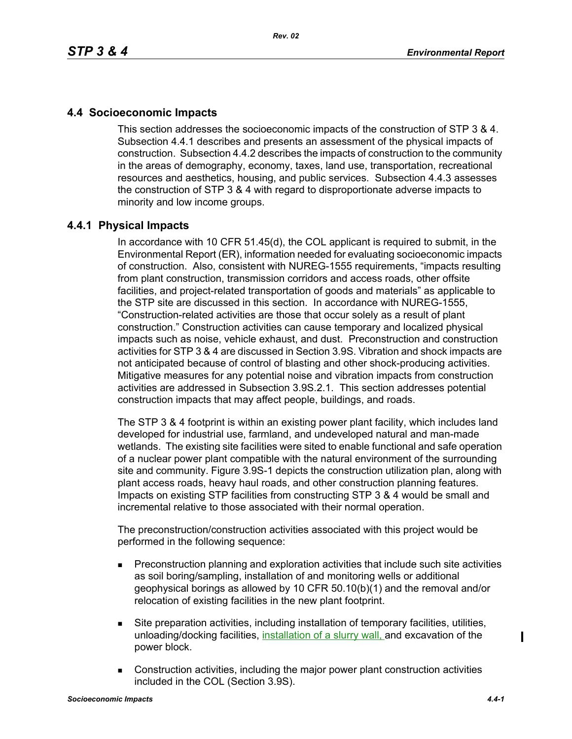# **4.4 Socioeconomic Impacts**

This section addresses the socioeconomic impacts of the construction of STP 3 & 4. Subsection 4.4.1 describes and presents an assessment of the physical impacts of [construction. Subsection 4.4.2 describes the impacts of construction to the community](http://www.hhsc.state.tx.us/about_hhsc/index.html)  in the areas of demography, economy, taxes, land use, transportation, recreational resources and aesthetics, housing, and public services. Subsection 4.4.3 assesses the construction of STP 3 & 4 with regard to disproportionate adverse impacts to minority and low income groups.

## **4.4.1 Physical Impacts**

In accordance with 10 CFR 51.45(d), the COL applicant is required to submit, in the Environmental Report (ER), information needed for evaluating socioeconomic impacts of construction. Also, consistent with NUREG-1555 requirements, "impacts resulting from plant construction, transmission corridors and access roads, other offsite facilities, and project-related transportation of goods and materials" as applicable to the STP site are discussed in this section. In accordance with NUREG-1555, "Construction-related activities are those that occur solely as a result of plant construction." Construction activities can cause temporary and localized physical impacts such as noise, vehicle exhaust, and dust. Preconstruction and construction activities for STP 3 & 4 are discussed in Section 3.9S. Vibration and shock impacts are not anticipated because of control of blasting and other shock-producing activities. Mitigative measures for any potential noise and vibration impacts from construction activities are addressed in Subsection 3.9S.2.1. This section addresses potential construction impacts that may affect people, buildings, and roads.

The STP 3 & 4 footprint is within an existing power plant facility, which includes land developed for industrial use, farmland, and undeveloped natural and man-made wetlands. The existing site facilities were sited to enable functional and safe operation of a nuclear power plant compatible with the natural environment of the surrounding site and community. Figure 3.9S-1 depicts the construction utilization plan, along with plant access roads, heavy haul roads, and other construction planning features. Impacts on existing STP facilities from constructing STP 3 & 4 would be small and incremental relative to those associated with their normal operation.

The preconstruction/construction activities associated with this project would be performed in the following sequence:

- **Preconstruction planning and exploration activities that include such site activities** as soil boring/sampling, installation of and monitoring wells or additional geophysical borings as allowed by 10 CFR 50.10(b)(1) and the removal and/or relocation of existing facilities in the new plant footprint.
- Site preparation activities, including installation of temporary facilities, utilities, unloading/docking facilities, installation of a slurry wall, and excavation of the power block.
- Construction activities, including the major power plant construction activities included in the COL (Section 3.9S).

 $\blacksquare$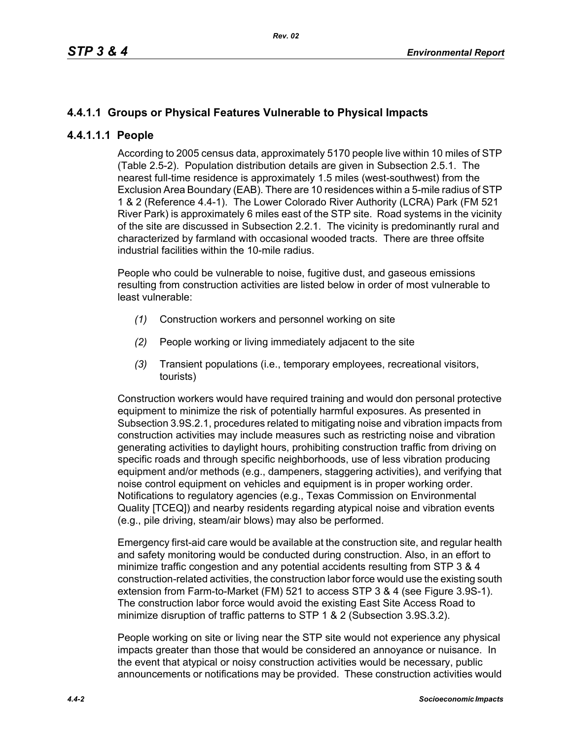# **4.4.1.1 Groups or Physical Features Vulnerable to Physical Impacts**

## **4.4.1.1.1 People**

According to 2005 census data, approximately 5170 people live within 10 miles of STP (Table 2.5-2). Population distribution details are given in Subsection 2.5.1. The nearest full-time residence is approximately 1.5 miles (west-southwest) from the Exclusion Area Boundary (EAB). There are 10 residences within a 5-mile radius of STP 1 & 2 (Reference 4.4-1). The Lower Colorado River Authority (LCRA) Park (FM 521 River Park) is approximately 6 miles east of the STP site. Road systems in the vicinity of the site are discussed in Subsection 2.2.1. The vicinity is predominantly rural and characterized by farmland with occasional wooded tracts. There are three offsite industrial facilities within the 10-mile radius.

People who could be vulnerable to noise, fugitive dust, and gaseous emissions resulting from construction activities are listed below in order of most vulnerable to least vulnerable:

- *(1)* Construction workers and personnel working on site
- *(2)* People working or living immediately adjacent to the site
- *(3)* Transient populations (i.e., temporary employees, recreational visitors, tourists)

Construction workers would have required training and would don personal protective equipment to minimize the risk of potentially harmful exposures. As presented in Subsection 3.9S.2.1, procedures related to mitigating noise and vibration impacts from construction activities may include measures such as restricting noise and vibration generating activities to daylight hours, prohibiting construction traffic from driving on specific roads and through specific neighborhoods, use of less vibration producing equipment and/or methods (e.g., dampeners, staggering activities), and verifying that noise control equipment on vehicles and equipment is in proper working order. Notifications to regulatory agencies (e.g., Texas Commission on Environmental Quality [TCEQ]) and nearby residents regarding atypical noise and vibration events (e.g., pile driving, steam/air blows) may also be performed.

Emergency first-aid care would be available at the construction site, and regular health and safety monitoring would be conducted during construction. Also, in an effort to minimize traffic congestion and any potential accidents resulting from STP 3 & 4 construction-related activities, the construction labor force would use the existing south extension from Farm-to-Market (FM) 521 to access STP 3 & 4 (see Figure 3.9S-1). The construction labor force would avoid the existing East Site Access Road to minimize disruption of traffic patterns to STP 1 & 2 (Subsection 3.9S.3.2).

People working on site or living near the STP site would not experience any physical impacts greater than those that would be considered an annoyance or nuisance. In the event that atypical or noisy construction activities would be necessary, public announcements or notifications may be provided. These construction activities would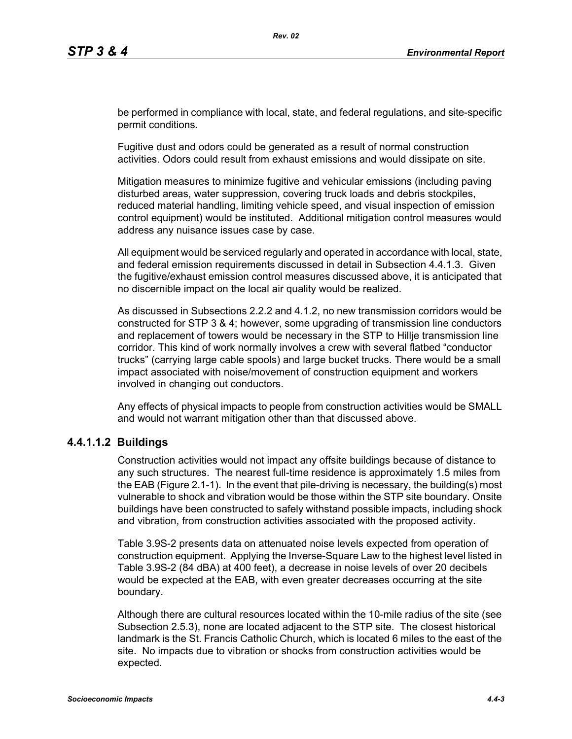be performed in compliance with local, state, and federal regulations, and site-specific permit conditions.

Fugitive dust and odors could be generated as a result of normal construction activities. Odors could result from exhaust emissions and would dissipate on site.

Mitigation measures to minimize fugitive and vehicular emissions (including paving disturbed areas, water suppression, covering truck loads and debris stockpiles, reduced material handling, limiting vehicle speed, and visual inspection of emission control equipment) would be instituted. Additional mitigation control measures would address any nuisance issues case by case.

All equipment would be serviced regularly and operated in accordance with local, state, and federal emission requirements discussed in detail in Subsection 4.4.1.3. Given the fugitive/exhaust emission control measures discussed above, it is anticipated that no discernible impact on the local air quality would be realized.

As discussed in Subsections 2.2.2 and 4.1.2, no new transmission corridors would be constructed for STP 3 & 4; however, some upgrading of transmission line conductors and replacement of towers would be necessary in the STP to Hillje transmission line corridor. This kind of work normally involves a crew with several flatbed "conductor trucks" (carrying large cable spools) and large bucket trucks. There would be a small impact associated with noise/movement of construction equipment and workers involved in changing out conductors.

Any effects of physical impacts to people from construction activities would be SMALL and would not warrant mitigation other than that discussed above.

## **4.4.1.1.2 Buildings**

Construction activities would not impact any offsite buildings because of distance to any such structures. The nearest full-time residence is approximately 1.5 miles from the EAB (Figure 2.1-1). In the event that pile-driving is necessary, the building(s) most vulnerable to shock and vibration would be those within the STP site boundary. Onsite buildings have been constructed to safely withstand possible impacts, including shock and vibration, from construction activities associated with the proposed activity.

Table 3.9S-2 presents data on attenuated noise levels expected from operation of construction equipment. Applying the Inverse-Square Law to the highest level listed in Table 3.9S-2 (84 dBA) at 400 feet), a decrease in noise levels of over 20 decibels would be expected at the EAB, with even greater decreases occurring at the site boundary.

Although there are cultural resources located within the 10-mile radius of the site (see Subsection 2.5.3), none are located adjacent to the STP site. The closest historical landmark is the St. Francis Catholic Church, which is located 6 miles to the east of the site. No impacts due to vibration or shocks from construction activities would be expected.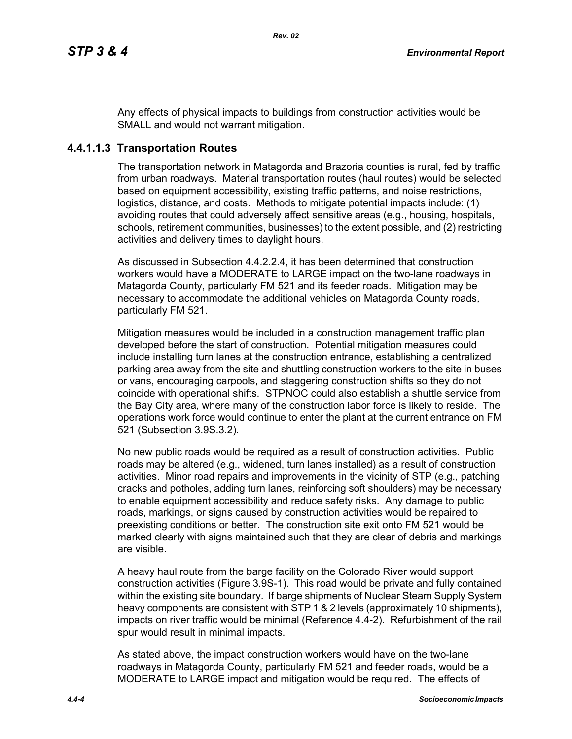Any effects of physical impacts to buildings from construction activities would be SMALL and would not warrant mitigation.

# **4.4.1.1.3 Transportation Routes**

The transportation network in Matagorda and Brazoria counties is rural, fed by traffic from urban roadways. Material transportation routes (haul routes) would be selected based on equipment accessibility, existing traffic patterns, and noise restrictions, logistics, distance, and costs. Methods to mitigate potential impacts include: (1) avoiding routes that could adversely affect sensitive areas (e.g., housing, hospitals, schools, retirement communities, businesses) to the extent possible, and (2) restricting activities and delivery times to daylight hours.

As discussed in Subsection 4.4.2.2.4, it has been determined that construction workers would have a MODERATE to LARGE impact on the two-lane roadways in Matagorda County, particularly FM 521 and its feeder roads. Mitigation may be necessary to accommodate the additional vehicles on Matagorda County roads, particularly FM 521.

Mitigation measures would be included in a construction management traffic plan developed before the start of construction. Potential mitigation measures could include installing turn lanes at the construction entrance, establishing a centralized parking area away from the site and shuttling construction workers to the site in buses or vans, encouraging carpools, and staggering construction shifts so they do not coincide with operational shifts. STPNOC could also establish a shuttle service from the Bay City area, where many of the construction labor force is likely to reside. The operations work force would continue to enter the plant at the current entrance on FM 521 (Subsection 3.9S.3.2).

No new public roads would be required as a result of construction activities. Public roads may be altered (e.g., widened, turn lanes installed) as a result of construction activities. Minor road repairs and improvements in the vicinity of STP (e.g., patching cracks and potholes, adding turn lanes, reinforcing soft shoulders) may be necessary to enable equipment accessibility and reduce safety risks. Any damage to public roads, markings, or signs caused by construction activities would be repaired to preexisting conditions or better. The construction site exit onto FM 521 would be marked clearly with signs maintained such that they are clear of debris and markings are visible.

A heavy haul route from the barge facility on the Colorado River would support construction activities (Figure 3.9S-1). This road would be private and fully contained within the existing site boundary. If barge shipments of Nuclear Steam Supply System heavy components are consistent with STP 1 & 2 levels (approximately 10 shipments), impacts on river traffic would be minimal (Reference 4.4-2). Refurbishment of the rail spur would result in minimal impacts.

As stated above, the impact construction workers would have on the two-lane roadways in Matagorda County, particularly FM 521 and feeder roads, would be a MODERATE to LARGE impact and mitigation would be required. The effects of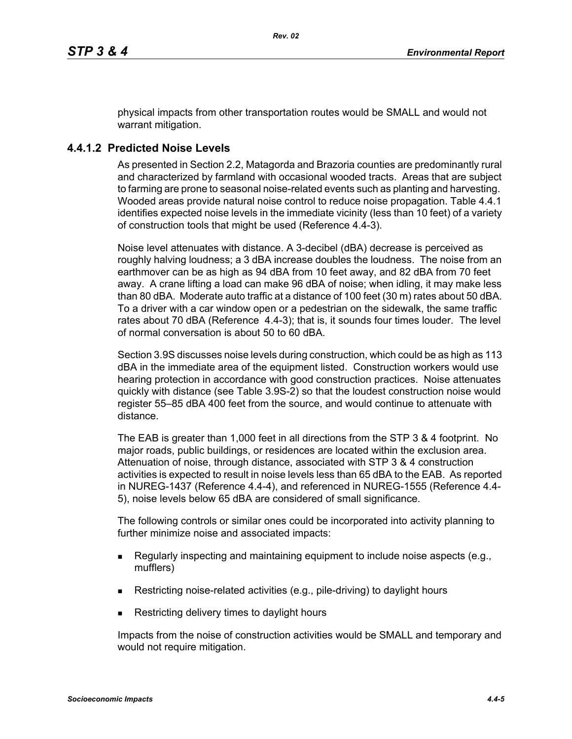physical impacts from other transportation routes would be SMALL and would not warrant mitigation.

# **4.4.1.2 Predicted Noise Levels**

As presented in Section 2.2, Matagorda and Brazoria counties are predominantly rural and characterized by farmland with occasional wooded tracts. Areas that are subject to farming are prone to seasonal noise-related events such as planting and harvesting. Wooded areas provide natural noise control to reduce noise propagation. Table 4.4.1 identifies expected noise levels in the immediate vicinity (less than 10 feet) of a variety of construction tools that might be used (Reference 4.4-3).

Noise level attenuates with distance. A 3-decibel (dBA) decrease is perceived as roughly halving loudness; a 3 dBA increase doubles the loudness. The noise from an earthmover can be as high as 94 dBA from 10 feet away, and 82 dBA from 70 feet away. A crane lifting a load can make 96 dBA of noise; when idling, it may make less than 80 dBA. Moderate auto traffic at a distance of 100 feet (30 m) rates about 50 dBA. To a driver with a car window open or a pedestrian on the sidewalk, the same traffic rates about 70 dBA (Reference 4.4-3); that is, it sounds four times louder. The level of normal conversation is about 50 to 60 dBA.

Section 3.9S discusses noise levels during construction, which could be as high as 113 dBA in the immediate area of the equipment listed. Construction workers would use hearing protection in accordance with good construction practices. Noise attenuates quickly with distance (see Table 3.9S-2) so that the loudest construction noise would register 55–85 dBA 400 feet from the source, and would continue to attenuate with distance.

The EAB is greater than 1,000 feet in all directions from the STP 3 & 4 footprint. No major roads, public buildings, or residences are located within the exclusion area. Attenuation of noise, through distance, associated with STP 3 & 4 construction activities is expected to result in noise levels less than 65 dBA to the EAB. As reported in NUREG-1437 (Reference 4.4-4), and referenced in NUREG-1555 (Reference 4.4- 5), noise levels below 65 dBA are considered of small significance.

The following controls or similar ones could be incorporated into activity planning to further minimize noise and associated impacts:

- Regularly inspecting and maintaining equipment to include noise aspects (e.g., mufflers)
- Restricting noise-related activities (e.g., pile-driving) to daylight hours
- Restricting delivery times to daylight hours

Impacts from the noise of construction activities would be SMALL and temporary and would not require mitigation.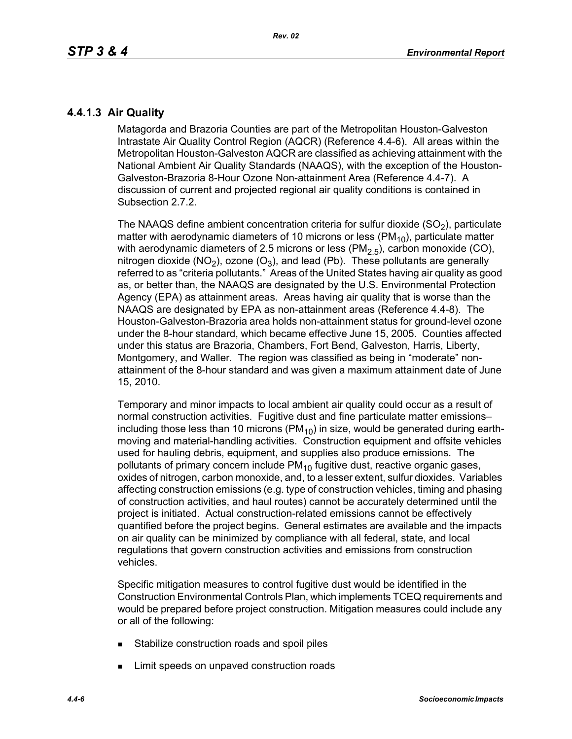# **4.4.1.3 Air Quality**

Matagorda and Brazoria Counties are part of the Metropolitan Houston-Galveston Intrastate Air Quality Control Region (AQCR) (Reference 4.4-6). All areas within the Metropolitan Houston-Galveston AQCR are classified as achieving attainment with the National Ambient Air Quality Standards (NAAQS), with the exception of the Houston-Galveston-Brazoria 8-Hour Ozone Non-attainment Area (Reference 4.4-7). A discussion of current and projected regional air quality conditions is contained in Subsection 2.7.2.

The NAAQS define ambient concentration criteria for sulfur dioxide  $(SO<sub>2</sub>)$ , particulate matter with aerodynamic diameters of 10 microns or less ( $PM_{10}$ ), particulate matter with aerodynamic diameters of 2.5 microns or less ( $PM<sub>2.5</sub>$ ), carbon monoxide (CO), nitrogen dioxide (NO<sub>2</sub>), ozone (O<sub>3</sub>), and lead (Pb). These pollutants are generally referred to as "criteria pollutants." Areas of the United States having air quality as good as, or better than, the NAAQS are designated by the U.S. Environmental Protection Agency (EPA) as attainment areas. Areas having air quality that is worse than the NAAQS are designated by EPA as non-attainment areas (Reference 4.4-8). The Houston-Galveston-Brazoria area holds non-attainment status for ground-level ozone under the 8-hour standard, which became effective June 15, 2005. Counties affected under this status are Brazoria, Chambers, Fort Bend, Galveston, Harris, Liberty, Montgomery, and Waller. The region was classified as being in "moderate" nonattainment of the 8-hour standard and was given a maximum attainment date of June 15, 2010.

Temporary and minor impacts to local ambient air quality could occur as a result of normal construction activities. Fugitive dust and fine particulate matter emissions– including those less than 10 microns ( $PM_{10}$ ) in size, would be generated during earthmoving and material-handling activities. Construction equipment and offsite vehicles used for hauling debris, equipment, and supplies also produce emissions. The pollutants of primary concern include  $PM_{10}$  fugitive dust, reactive organic gases, oxides of nitrogen, carbon monoxide, and, to a lesser extent, sulfur dioxides. Variables affecting construction emissions (e.g. type of construction vehicles, timing and phasing of construction activities, and haul routes) cannot be accurately determined until the project is initiated. Actual construction-related emissions cannot be effectively quantified before the project begins. General estimates are available and the impacts on air quality can be minimized by compliance with all federal, state, and local regulations that govern construction activities and emissions from construction vehicles.

Specific mitigation measures to control fugitive dust would be identified in the Construction Environmental Controls Plan, which implements TCEQ requirements and would be prepared before project construction. Mitigation measures could include any or all of the following:

- **Stabilize construction roads and spoil piles**
- **EXECUTE:** Limit speeds on unpaved construction roads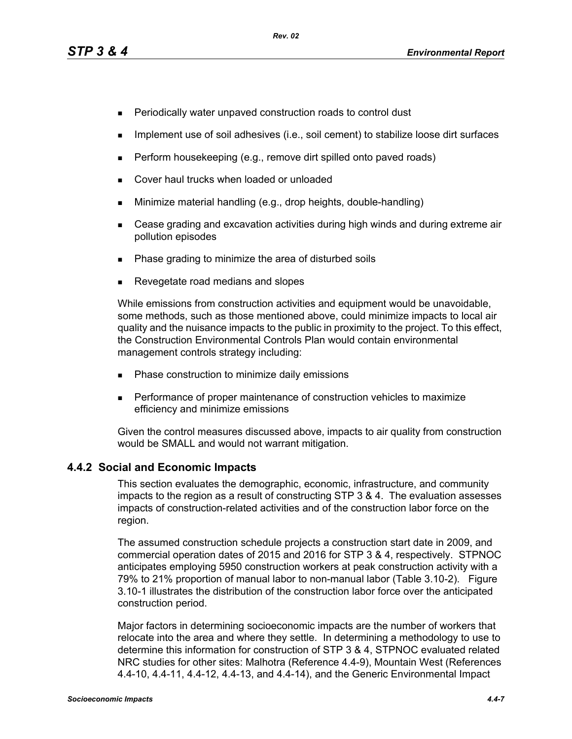- **Periodically water unpaved construction roads to control dust**
- **IMPLEMENT USE OF SOIL ADDES** (i.e., soil cement) to stabilize loose dirt surfaces
- $\blacksquare$  Perform housekeeping (e.g., remove dirt spilled onto paved roads)
- **Cover haul trucks when loaded or unloaded**
- **Minimize material handling (e.g., drop heights, double-handling)**
- Cease grading and excavation activities during high winds and during extreme air pollution episodes
- Phase grading to minimize the area of disturbed soils
- Revegetate road medians and slopes

While emissions from construction activities and equipment would be unavoidable, some methods, such as those mentioned above, could minimize impacts to local air quality and the nuisance impacts to the public in proximity to the project. To this effect, the Construction Environmental Controls Plan would contain environmental management controls strategy including:

- **Phase construction to minimize daily emissions**
- **Performance of proper maintenance of construction vehicles to maximize** efficiency and minimize emissions

[Given the control measures discussed above, impacts to air quality from construction](http://factfinder.census.gov/)  would be SMALL and would not warrant mitigation.

# **4.4.2 Social and Economic Impacts**

This section evaluates the demographic, economic, infrastructure, and community impacts to the region as a result of constructing STP 3 & 4. The evaluation assesses impacts of construction-related activities and of the construction labor force on the region.

The assumed construction schedule projects a construction start date in 2009, and commercial operation dates of 2015 and 2016 for STP 3 & 4, respectively. STPNOC anticipates employing 5950 construction workers at peak construction activity with a 79% to 21% proportion of manual labor to non-manual labor (Table 3.10-2). Figure 3.10-1 illustrates the distribution of the construction labor force over the anticipated construction period.

[Major factors in determining socioeconomic impacts are the number of workers that](http://factfinder.census.gov/)  relocate into the area and where they settle. In determining a methodology to use to determine this information for construction of STP 3 & 4, STPNOC evaluated related [NRC studies for other sites: Malhotra \(Reference 4.4-9\), Mountain West \(References](http://factfinder.census.gov/)  [4.4-10, 4.4-11, 4.4-12, 4.4-13, and 4.4-14\), and the Generic Environmental Impact](http://factfinder.census.gov/)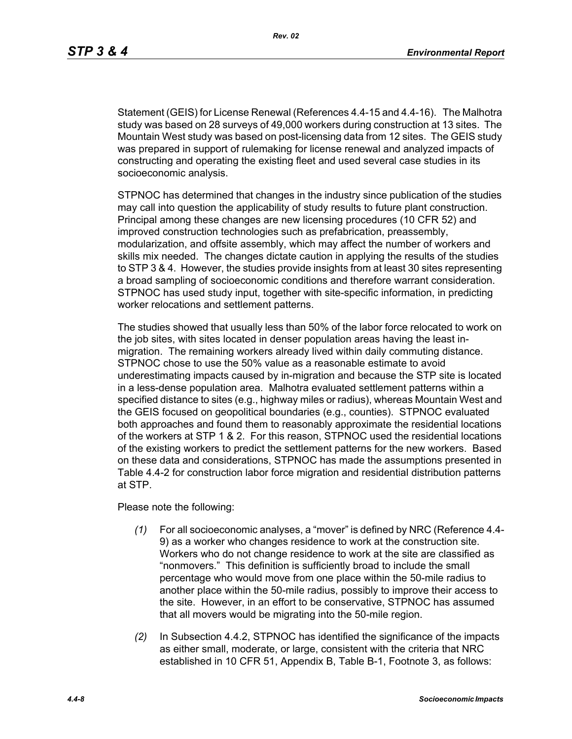[Statement \(GEIS\) for License Renewal \(References 4.4-15 and 4.4-16\). The Malhotra](http://factfinder.census.gov/)  study was based on 28 surveys of 49,000 workers during construction at 13 sites. The Mountain West study was based on post-licensing data from 12 sites. The GEIS study was prepared in support of rulemaking for license renewal and analyzed impacts of constructing and operating the existing fleet and used several case studies in its socioeconomic analysis.

STPNOC has determined that changes in the industry since publication of the studies may call into question the applicability of study results to future plant construction. Principal among these changes are new licensing procedures (10 CFR 52) and improved construction technologies such as prefabrication, preassembly, modularization, and offsite assembly, which may affect the number of workers and skills mix needed. The changes dictate caution in applying the results of the studies to STP 3 & 4. However, the studies provide insights from at least 30 sites representing a broad sampling of socioeconomic conditions and therefore warrant consideration. STPNOC has used study input, together with site-specific information, in predicting worker relocations and settlement patterns.

The studies showed that usually less than 50% of the labor force relocated to work on the job sites, with sites located in denser population areas having the least inmigration. The remaining workers already lived within daily commuting distance. STPNOC chose to use the 50% value as a reasonable estimate to avoid underestimating impacts caused by in-migration and because the STP site is located in a less-dense population area. Malhotra evaluated settlement patterns within a specified distance to sites (e.g., highway miles or radius), whereas Mountain West and the GEIS focused on geopolitical boundaries (e.g., counties). STPNOC evaluated both approaches and found them to reasonably approximate the residential locations of the workers at STP 1 & 2. For this reason, STPNOC used the residential locations of the existing workers to predict the settlement patterns for the new workers. Based on these data and considerations, STPNOC has made the assumptions presented in Table 4.4-2 for construction labor force migration and residential distribution patterns at STP.

Please note the following:

- *(1)* For all socioeconomic analyses, a "mover" is defined by NRC (Reference 4.4- 9) as a worker who changes residence to work at the construction site. Workers who do not change residence to work at the site are classified as "nonmovers." This definition is sufficiently broad to include the small percentage who would move from one place within the 50-mile radius to another place within the 50-mile radius, possibly to improve their access to the site. However, in an effort to be conservative, STPNOC has assumed that all movers would be migrating into the 50-mile region.
- *(2)* In Subsection 4.4.2, STPNOC has identified the significance of the impacts as either small, moderate, or large, consistent with the criteria that NRC established in 10 CFR 51, Appendix B, Table B-1, Footnote 3, as follows: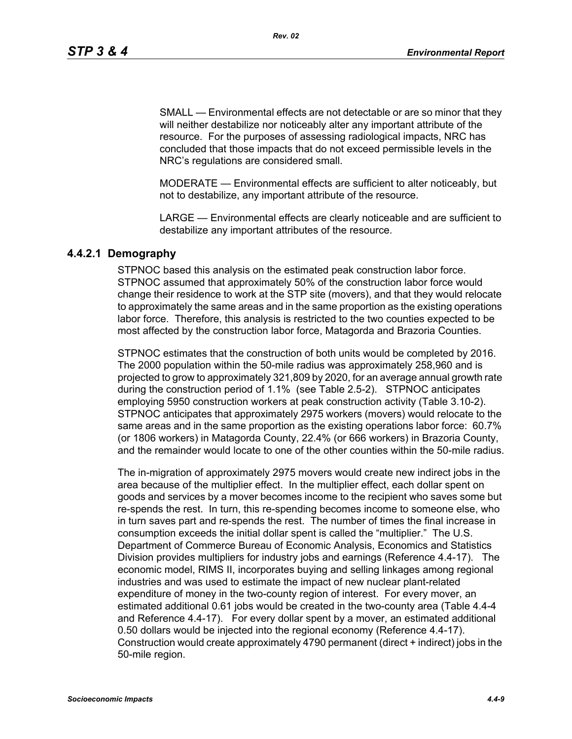SMALL — Environmental effects are not detectable or are so minor that they will neither destabilize nor noticeably alter any important attribute of the resource. For the purposes of assessing radiological impacts, NRC has concluded that those impacts that do not exceed permissible levels in the NRC's regulations are considered small.

MODERATE — Environmental effects are sufficient to alter noticeably, but not to destabilize, any important attribute of the resource.

LARGE — Environmental effects are clearly noticeable and are sufficient to destabilize any important attributes of the resource.

## **4.4.2.1 Demography**

STPNOC based this analysis on the estimated peak construction labor force. STPNOC assumed that approximately 50% of the construction labor force would change their residence to work at the STP site (movers), and that they would relocate to approximately the same areas and in the same proportion as the existing operations labor force. Therefore, this analysis is restricted to the two counties expected to be most affected by the construction labor force, Matagorda and Brazoria Counties.

STPNOC estimates that the construction of both units would be completed by 2016. The 2000 population within the 50-mile radius was approximately 258,960 and is projected to grow to approximately 321,809 by 2020, for an average annual growth rate during the construction period of 1.1% (see Table 2.5-2). STPNOC anticipates employing 5950 construction workers at peak construction activity (Table 3.10-2). STPNOC anticipates that approximately 2975 workers (movers) would relocate to the same areas and in the same proportion as the existing operations labor force: 60.7% (or 1806 workers) in Matagorda County, 22.4% (or 666 workers) in Brazoria County, and the remainder would locate to one of the other counties within the 50-mile radius.

The in-migration of approximately 2975 movers would create new indirect jobs in the area because of the multiplier effect. In the multiplier effect, each dollar spent on goods and services by a mover becomes income to the recipient who saves some but re-spends the rest. In turn, this re-spending becomes income to someone else, who in turn saves part and re-spends the rest. The number of times the final increase in consumption exceeds the initial dollar spent is called the "multiplier." The U.S. Department of Commerce Bureau of Economic Analysis, Economics and Statistics Division provides multipliers for industry jobs and earnings (Reference 4.4-17). The economic model, RIMS II, incorporates buying and selling linkages among regional industries and was used to estimate the impact of new nuclear plant-related expenditure of money in the two-county region of interest. For every mover, an estimated additional 0.61 jobs would be created in the two-county area (Table 4.4-4 and Reference 4.4-17). For every dollar spent by a mover, an estimated additional 0.50 dollars would be injected into the regional economy (Reference 4.4-17). Construction would create approximately 4790 permanent (direct + indirect) jobs in the 50-mile region.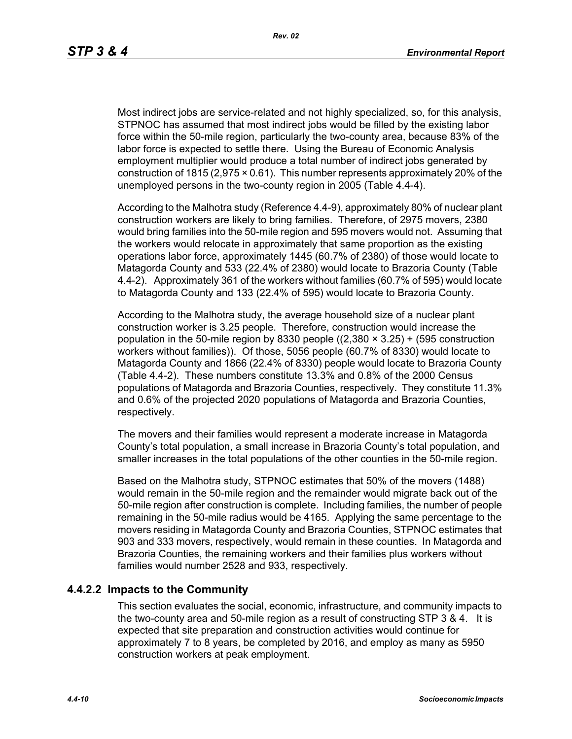Most indirect jobs are service-related and not highly specialized, so, for this analysis, STPNOC has assumed that most indirect jobs would be filled by the existing labor force within the 50-mile region, particularly the two-county area, because 83% of the labor force is expected to settle there. Using the Bureau of Economic Analysis employment multiplier would produce a total number of indirect jobs generated by construction of 1815 (2,975 × 0.61). This number represents approximately 20% of the unemployed persons in the two-county region in 2005 (Table 4.4-4).

According to the Malhotra study (Reference 4.4-9), approximately 80% of nuclear plant construction workers are likely to bring families. Therefore, of 2975 movers, 2380 would bring families into the 50-mile region and 595 movers would not. Assuming that the workers would relocate in approximately that same proportion as the existing operations labor force, approximately 1445 (60.7% of 2380) of those would locate to Matagorda County and 533 (22.4% of 2380) would locate to Brazoria County (Table 4.4-2). Approximately 361 of the workers without families (60.7% of 595) would locate to Matagorda County and 133 (22.4% of 595) would locate to Brazoria County.

According to the Malhotra study, the average household size of a nuclear plant construction worker is 3.25 people. Therefore, construction would increase the population in the 50-mile region by 8330 people  $((2,380 \times 3.25) + (595$  construction workers without families)). Of those, 5056 people (60.7% of 8330) would locate to Matagorda County and 1866 (22.4% of 8330) people would locate to Brazoria County (Table 4.4-2). These numbers constitute 13.3% and 0.8% of the 2000 Census populations of Matagorda and Brazoria Counties, respectively. They constitute 11.3% and 0.6% of the projected 2020 populations of Matagorda and Brazoria Counties, respectively.

The movers and their families would represent a moderate increase in Matagorda County's total population, a small increase in Brazoria County's total population, and smaller increases in the total populations of the other counties in the 50-mile region.

Based on the Malhotra study, STPNOC estimates that 50% of the movers (1488) would remain in the 50-mile region and the remainder would migrate back out of the 50-mile region after construction is complete. Including families, the number of people remaining in the 50-mile radius would be 4165. Applying the same percentage to the movers residing in Matagorda County and Brazoria Counties, STPNOC estimates that 903 and 333 movers, respectively, would remain in these counties. In Matagorda and Brazoria Counties, the remaining workers and their families plus workers without families would number 2528 and 933, respectively.

#### **4.4.2.2 Impacts to the Community**

This section evaluates the social, economic, infrastructure, and community impacts to the two-county area and 50-mile region as a result of constructing STP 3 & 4. It is expected that site preparation and construction activities would continue for approximately 7 to 8 years, be completed by 2016, and employ as many as 5950 construction workers at peak employment.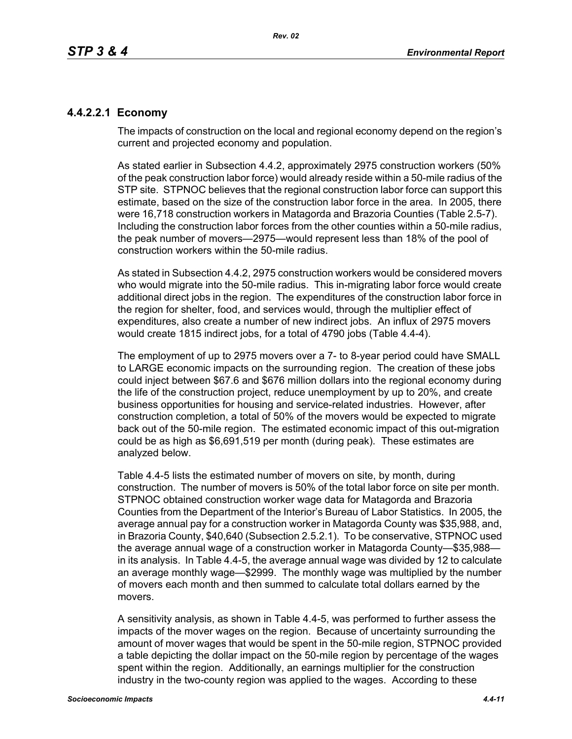# **4.4.2.2.1 Economy**

The impacts of construction on the local and regional economy depend on the region's current and projected economy and population.

As stated earlier in Subsection 4.4.2, approximately 2975 construction workers (50% of the peak construction labor force) would already reside within a 50-mile radius of the STP site. STPNOC believes that the regional construction labor force can support this estimate, based on the size of the construction labor force in the area. In 2005, there were 16,718 construction workers in Matagorda and Brazoria Counties (Table 2.5-7). Including the construction labor forces from the other counties within a 50-mile radius, the peak number of movers—2975—would represent less than 18% of the pool of construction workers within the 50-mile radius.

As stated in Subsection 4.4.2, 2975 construction workers would be considered movers who would migrate into the 50-mile radius. This in-migrating labor force would create additional direct jobs in the region. The expenditures of the construction labor force in the region for shelter, food, and services would, through the multiplier effect of expenditures, also create a number of new indirect jobs. An influx of 2975 movers would create 1815 indirect jobs, for a total of 4790 jobs (Table 4.4-4).

The employment of up to 2975 movers over a 7- to 8-year period could have SMALL to LARGE economic impacts on the surrounding region. The creation of these jobs could inject between \$67.6 and \$676 million dollars into the regional economy during the life of the construction project, reduce unemployment by up to 20%, and create business opportunities for housing and service-related industries. However, after construction completion, a total of 50% of the movers would be expected to migrate back out of the 50-mile region. The estimated economic impact of this out-migration could be as high as \$6,691,519 per month (during peak). These estimates are analyzed below.

Table 4.4-5 lists the estimated number of movers on site, by month, during construction. The number of movers is 50% of the total labor force on site per month. STPNOC obtained construction worker wage data for Matagorda and Brazoria Counties from the Department of the Interior's Bureau of Labor Statistics. In 2005, the average annual pay for a construction worker in Matagorda County was \$35,988, and, in Brazoria County, \$40,640 (Subsection 2.5.2.1). To be conservative, STPNOC used the average annual wage of a construction worker in Matagorda County—\$35,988 in its analysis. In Table 4.4-5, the average annual wage was divided by 12 to calculate an average monthly wage—\$2999. The monthly wage was multiplied by the number of movers each month and then summed to calculate total dollars earned by the movers.

A sensitivity analysis, as shown in Table 4.4-5, was performed to further assess the impacts of the mover wages on the region. Because of uncertainty surrounding the amount of mover wages that would be spent in the 50-mile region, STPNOC provided a table depicting the dollar impact on the 50-mile region by percentage of the wages spent within the region. Additionally, an earnings multiplier for the construction industry in the two-county region was applied to the wages. According to these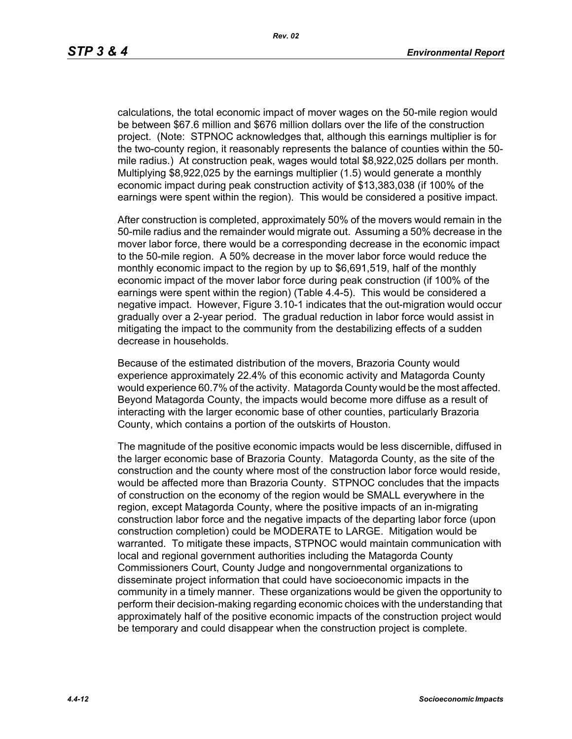calculations, the total economic impact of mover wages on the 50-mile region would be between \$67.6 million and \$676 million dollars over the life of the construction project. (Note: STPNOC acknowledges that, although this earnings multiplier is for the two-county region, it reasonably represents the balance of counties within the 50 mile radius.) At construction peak, wages would total \$8,922,025 dollars per month. Multiplying \$8,922,025 by the earnings multiplier (1.5) would generate a monthly economic impact during peak construction activity of \$13,383,038 (if 100% of the earnings were spent within the region). This would be considered a positive impact.

After construction is completed, approximately 50% of the movers would remain in the 50-mile radius and the remainder would migrate out. Assuming a 50% decrease in the mover labor force, there would be a corresponding decrease in the economic impact to the 50-mile region. A 50% decrease in the mover labor force would reduce the monthly economic impact to the region by up to \$6,691,519, half of the monthly economic impact of the mover labor force during peak construction (if 100% of the earnings were spent within the region) (Table 4.4-5). This would be considered a negative impact. However, Figure 3.10-1 indicates that the out-migration would occur gradually over a 2-year period. The gradual reduction in labor force would assist in mitigating the impact to the community from the destabilizing effects of a sudden decrease in households.

Because of the estimated distribution of the movers, Brazoria County would experience approximately 22.4% of this economic activity and Matagorda County would experience 60.7% of the activity. Matagorda County would be the most affected. Beyond Matagorda County, the impacts would become more diffuse as a result of interacting with the larger economic base of other counties, particularly Brazoria County, which contains a portion of the outskirts of Houston.

The magnitude of the positive economic impacts would be less discernible, diffused in the larger economic base of Brazoria County. Matagorda County, as the site of the construction and the county where most of the construction labor force would reside, would be affected more than Brazoria County. STPNOC concludes that the impacts of construction on the economy of the region would be SMALL everywhere in the region, except Matagorda County, where the positive impacts of an in-migrating construction labor force and the negative impacts of the departing labor force (upon construction completion) could be MODERATE to LARGE. Mitigation would be warranted. To mitigate these impacts, STPNOC would maintain communication with local and regional government authorities including the Matagorda County Commissioners Court, County Judge and nongovernmental organizations to disseminate project information that could have socioeconomic impacts in the community in a timely manner. These organizations would be given the opportunity to perform their decision-making regarding economic choices with the understanding that approximately half of the positive economic impacts of the construction project would be temporary and could disappear when the construction project is complete.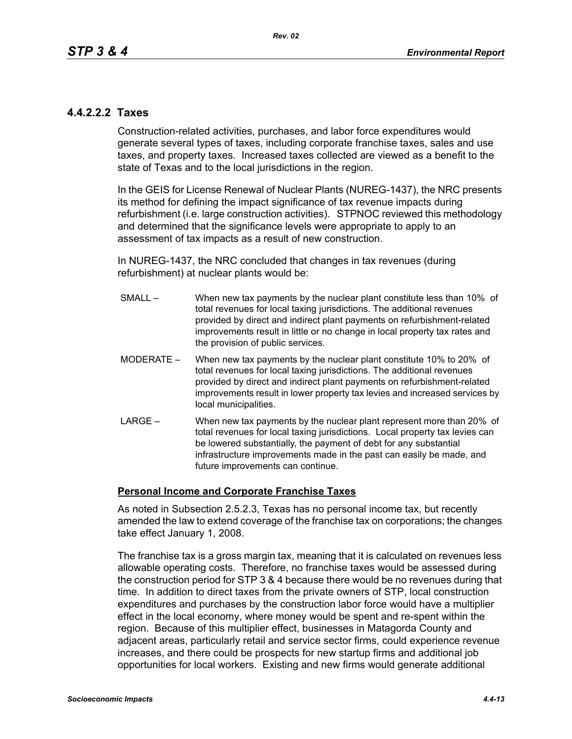# **4.4.2.2.2 Taxes**

Construction-related activities, purchases, and labor force expenditures would generate several types of taxes, including corporate franchise taxes, sales and use taxes, and property taxes. Increased taxes collected are viewed as a benefit to the state of Texas and to the local jurisdictions in the region.

In the GEIS for License Renewal of Nuclear Plants (NUREG-1437), the NRC presents its method for defining the impact significance of tax revenue impacts during refurbishment (i.e. large construction activities). STPNOC reviewed this methodology and determined that the significance levels were appropriate to apply to an assessment of tax impacts as a result of new construction.

In NUREG-1437, the NRC concluded that changes in tax revenues (during refurbishment) at nuclear plants would be:

- SMALL When new tax payments by the nuclear plant constitute less than 10% of total revenues for local taxing jurisdictions. The additional revenues provided by direct and indirect plant payments on refurbishment-related improvements result in little or no change in local property tax rates and the provision of public services.
- MODERATE When new tax payments by the nuclear plant constitute 10% to 20% of total revenues for local taxing jurisdictions. The additional revenues provided by direct and indirect plant payments on refurbishment-related improvements result in lower property tax levies and increased services by local municipalities.
- LARGE When new tax payments by the nuclear plant represent more than 20% of total revenues for local taxing jurisdictions. Local property tax levies can be lowered substantially, the payment of debt for any substantial infrastructure improvements made in the past can easily be made, and future improvements can continue.

## **Personal Income and Corporate Franchise Taxes**

As noted in Subsection 2.5.2.3, Texas has no personal income tax, but recently amended the law to extend coverage of the franchise tax on corporations; the changes take effect January 1, 2008.

The franchise tax is a gross margin tax, meaning that it is calculated on revenues less allowable operating costs. Therefore, no franchise taxes would be assessed during the construction period for STP 3 & 4 because there would be no revenues during that time. In addition to direct taxes from the private owners of STP, local construction expenditures and purchases by the construction labor force would have a multiplier effect in the local economy, where money would be spent and re-spent within the region. Because of this multiplier effect, businesses in Matagorda County and adjacent areas, particularly retail and service sector firms, could experience revenue increases, and there could be prospects for new startup firms and additional job opportunities for local workers. Existing and new firms would generate additional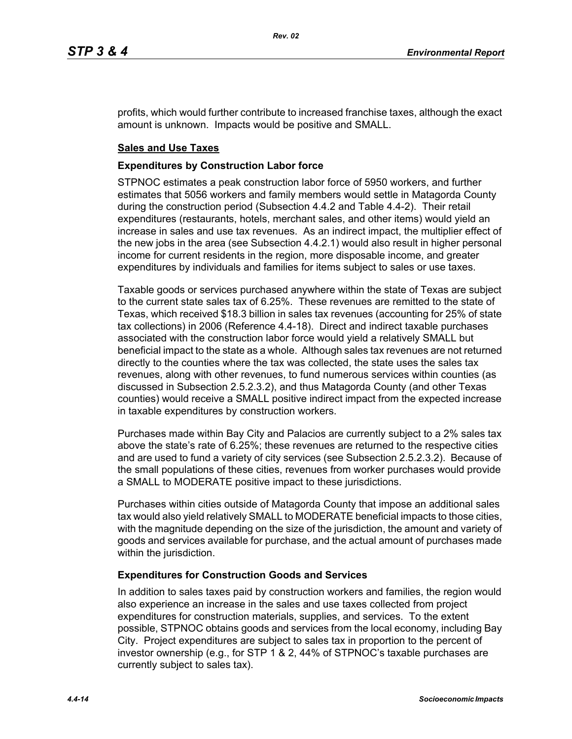profits, which would further contribute to increased franchise taxes, although the exact amount is unknown. Impacts would be positive and SMALL.

## **Sales and Use Taxes**

### **Expenditures by Construction Labor force**

STPNOC estimates a peak construction labor force of 5950 workers, and further estimates that 5056 workers and family members would settle in Matagorda County during the construction period (Subsection 4.4.2 and Table 4.4-2). Their retail expenditures (restaurants, hotels, merchant sales, and other items) would yield an increase in sales and use tax revenues. As an indirect impact, the multiplier effect of the new jobs in the area (see Subsection 4.4.2.1) would also result in higher personal income for current residents in the region, more disposable income, and greater expenditures by individuals and families for items subject to sales or use taxes.

Taxable goods or services purchased anywhere within the state of Texas are subject to the current state sales tax of 6.25%. These revenues are remitted to the state of Texas, which received \$18.3 billion in sales tax revenues (accounting for 25% of state tax collections) in 2006 (Reference 4.4-18). Direct and indirect taxable purchases associated with the construction labor force would yield a relatively SMALL but beneficial impact to the state as a whole. Although sales tax revenues are not returned directly to the counties where the tax was collected, the state uses the sales tax revenues, along with other revenues, to fund numerous services within counties (as discussed in Subsection 2.5.2.3.2), and thus Matagorda County (and other Texas counties) would receive a SMALL positive indirect impact from the expected increase in taxable expenditures by construction workers.

Purchases made within Bay City and Palacios are currently subject to a 2% sales tax above the state's rate of 6.25%; these revenues are returned to the respective cities and are used to fund a variety of city services (see Subsection 2.5.2.3.2). Because of the small populations of these cities, revenues from worker purchases would provide a SMALL to MODERATE positive impact to these jurisdictions.

Purchases within cities outside of Matagorda County that impose an additional sales tax would also yield relatively SMALL to MODERATE beneficial impacts to those cities, with the magnitude depending on the size of the jurisdiction, the amount and variety of goods and services available for purchase, and the actual amount of purchases made within the jurisdiction.

## **Expenditures for Construction Goods and Services**

In addition to sales taxes paid by construction workers and families, the region would also experience an increase in the sales and use taxes collected from project expenditures for construction materials, supplies, and services. To the extent possible, STPNOC obtains goods and services from the local economy, including Bay City. Project expenditures are subject to sales tax in proportion to the percent of investor ownership (e.g., for STP 1 & 2, 44% of STPNOC's taxable purchases are currently subject to sales tax).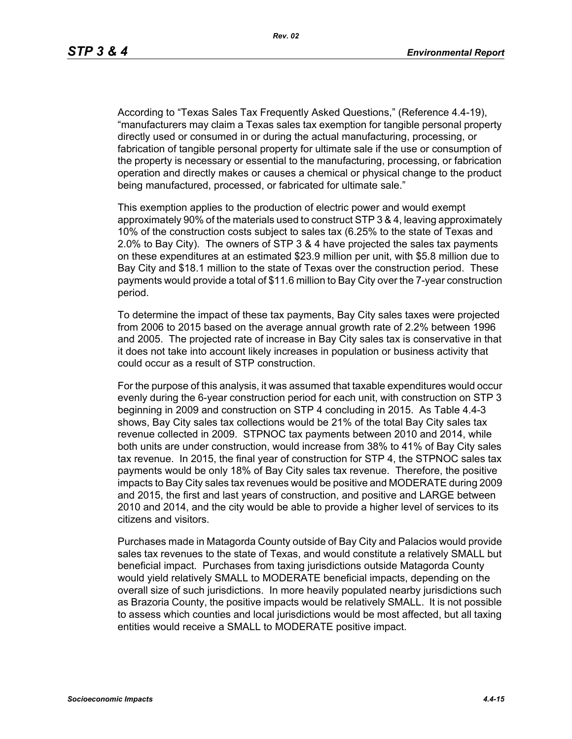According to "Texas Sales Tax Frequently Asked Questions," (Reference 4.4-19), "manufacturers may claim a Texas sales tax exemption for tangible personal property directly used or consumed in or during the actual manufacturing, processing, or fabrication of tangible personal property for ultimate sale if the use or consumption of the property is necessary or essential to the manufacturing, processing, or fabrication operation and directly makes or causes a chemical or physical change to the product being manufactured, processed, or fabricated for ultimate sale."

This exemption applies to the production of electric power and would exempt approximately 90% of the materials used to construct STP 3 & 4, leaving approximately 10% of the construction costs subject to sales tax (6.25% to the state of Texas and 2.0% to Bay City). The owners of STP 3 & 4 have projected the sales tax payments on these expenditures at an estimated \$23.9 million per unit, with \$5.8 million due to Bay City and \$18.1 million to the state of Texas over the construction period. These payments would provide a total of \$11.6 million to Bay City over the 7-year construction period.

To determine the impact of these tax payments, Bay City sales taxes were projected from 2006 to 2015 based on the average annual growth rate of 2.2% between 1996 and 2005. The projected rate of increase in Bay City sales tax is conservative in that it does not take into account likely increases in population or business activity that could occur as a result of STP construction.

For the purpose of this analysis, it was assumed that taxable expenditures would occur evenly during the 6-year construction period for each unit, with construction on STP 3 beginning in 2009 and construction on STP 4 concluding in 2015. As Table 4.4-3 shows, Bay City sales tax collections would be 21% of the total Bay City sales tax revenue collected in 2009. STPNOC tax payments between 2010 and 2014, while both units are under construction, would increase from 38% to 41% of Bay City sales tax revenue. In 2015, the final year of construction for STP 4, the STPNOC sales tax payments would be only 18% of Bay City sales tax revenue. Therefore, the positive impacts to Bay City sales tax revenues would be positive and MODERATE during 2009 and 2015, the first and last years of construction, and positive and LARGE between 2010 and 2014, and the city would be able to provide a higher level of services to its citizens and visitors.

Purchases made in Matagorda County outside of Bay City and Palacios would provide sales tax revenues to the state of Texas, and would constitute a relatively SMALL but beneficial impact. Purchases from taxing jurisdictions outside Matagorda County would yield relatively SMALL to MODERATE beneficial impacts, depending on the overall size of such jurisdictions. In more heavily populated nearby jurisdictions such as Brazoria County, the positive impacts would be relatively SMALL. It is not possible to assess which counties and local jurisdictions would be most affected, but all taxing entities would receive a SMALL to MODERATE positive impact.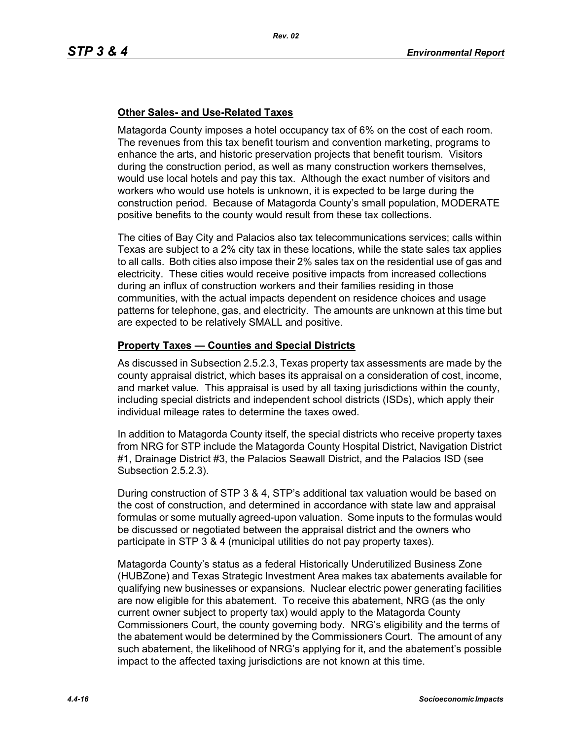## **Other Sales- and Use-Related Taxes**

Matagorda County imposes a hotel occupancy tax of 6% on the cost of each room. The revenues from this tax benefit tourism and convention marketing, programs to enhance the arts, and historic preservation projects that benefit tourism. Visitors during the construction period, as well as many construction workers themselves, would use local hotels and pay this tax. Although the exact number of visitors and workers who would use hotels is unknown, it is expected to be large during the construction period. Because of Matagorda County's small population, MODERATE positive benefits to the county would result from these tax collections.

The cities of Bay City and Palacios also tax telecommunications services; calls within Texas are subject to a 2% city tax in these locations, while the state sales tax applies to all calls. Both cities also impose their 2% sales tax on the residential use of gas and electricity. These cities would receive positive impacts from increased collections during an influx of construction workers and their families residing in those communities, with the actual impacts dependent on residence choices and usage patterns for telephone, gas, and electricity. The amounts are unknown at this time but are expected to be relatively SMALL and positive.

## **Property Taxes — Counties and Special Districts**

As discussed in Subsection 2.5.2.3, Texas property tax assessments are made by the county appraisal district, which bases its appraisal on a consideration of cost, income, and market value. This appraisal is used by all taxing jurisdictions within the county, including special districts and independent school districts (ISDs), which apply their individual mileage rates to determine the taxes owed.

In addition to Matagorda County itself, the special districts who receive property taxes from NRG for STP include the Matagorda County Hospital District, Navigation District #1, Drainage District #3, the Palacios Seawall District, and the Palacios ISD (see Subsection 2.5.2.3).

During construction of STP 3 & 4, STP's additional tax valuation would be based on the cost of construction, and determined in accordance with state law and appraisal formulas or some mutually agreed-upon valuation. Some inputs to the formulas would be discussed or negotiated between the appraisal district and the owners who participate in STP 3 & 4 (municipal utilities do not pay property taxes).

Matagorda County's status as a federal Historically Underutilized Business Zone (HUBZone) and Texas Strategic Investment Area makes tax abatements available for qualifying new businesses or expansions. Nuclear electric power generating facilities are now eligible for this abatement. To receive this abatement, NRG (as the only current owner subject to property tax) would apply to the Matagorda County Commissioners Court, the county governing body. NRG's eligibility and the terms of the abatement would be determined by the Commissioners Court. The amount of any such abatement, the likelihood of NRG's applying for it, and the abatement's possible impact to the affected taxing jurisdictions are not known at this time.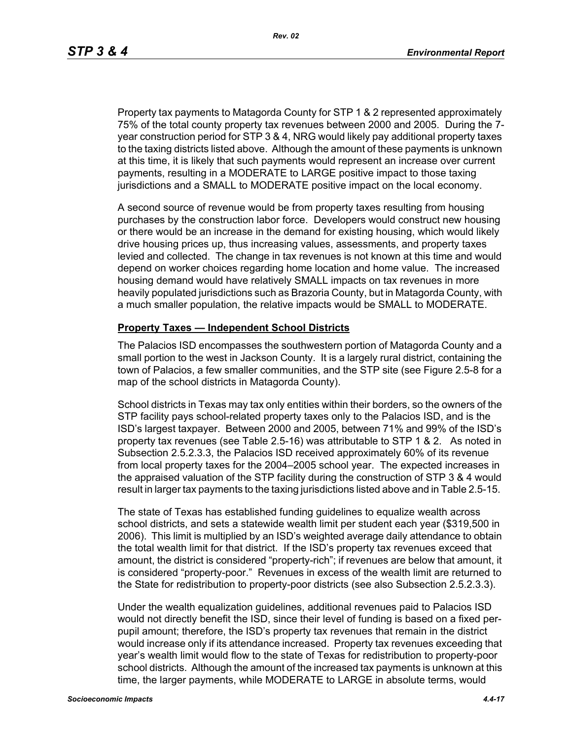Property tax payments to Matagorda County for STP 1 & 2 represented approximately 75% of the total county property tax revenues between 2000 and 2005. During the 7 year construction period for STP 3 & 4, NRG would likely pay additional property taxes to the taxing districts listed above. Although the amount of these payments is unknown at this time, it is likely that such payments would represent an increase over current payments, resulting in a MODERATE to LARGE positive impact to those taxing jurisdictions and a SMALL to MODERATE positive impact on the local economy.

A second source of revenue would be from property taxes resulting from housing purchases by the construction labor force. Developers would construct new housing or there would be an increase in the demand for existing housing, which would likely drive housing prices up, thus increasing values, assessments, and property taxes levied and collected. The change in tax revenues is not known at this time and would depend on worker choices regarding home location and home value. The increased housing demand would have relatively SMALL impacts on tax revenues in more heavily populated jurisdictions such as Brazoria County, but in Matagorda County, with a much smaller population, the relative impacts would be SMALL to MODERATE.

#### **Property Taxes — Independent School Districts**

The Palacios ISD encompasses the southwestern portion of Matagorda County and a small portion to the west in Jackson County. It is a largely rural district, containing the town of Palacios, a few smaller communities, and the STP site (see Figure 2.5-8 for a map of the school districts in Matagorda County).

School districts in Texas may tax only entities within their borders, so the owners of the STP facility pays school-related property taxes only to the Palacios ISD, and is the ISD's largest taxpayer. Between 2000 and 2005, between 71% and 99% of the ISD's property tax revenues (see Table 2.5-16) was attributable to STP 1 & 2. As noted in Subsection 2.5.2.3.3, the Palacios ISD received approximately 60% of its revenue from local property taxes for the 2004–2005 school year. The expected increases in the appraised valuation of the STP facility during the construction of STP 3 & 4 would result in larger tax payments to the taxing jurisdictions listed above and in Table 2.5-15.

The state of Texas has established funding guidelines to equalize wealth across school districts, and sets a statewide wealth limit per student each year (\$319,500 in 2006). This limit is multiplied by an ISD's weighted average daily attendance to obtain the total wealth limit for that district. If the ISD's property tax revenues exceed that amount, the district is considered "property-rich"; if revenues are below that amount, it is considered "property-poor." Revenues in excess of the wealth limit are returned to the State for redistribution to property-poor districts (see also Subsection 2.5.2.3.3).

Under the wealth equalization guidelines, additional revenues paid to Palacios ISD would not directly benefit the ISD, since their level of funding is based on a fixed perpupil amount; therefore, the ISD's property tax revenues that remain in the district would increase only if its attendance increased. Property tax revenues exceeding that year's wealth limit would flow to the state of Texas for redistribution to property-poor school districts. Although the amount of the increased tax payments is unknown at this time, the larger payments, while MODERATE to LARGE in absolute terms, would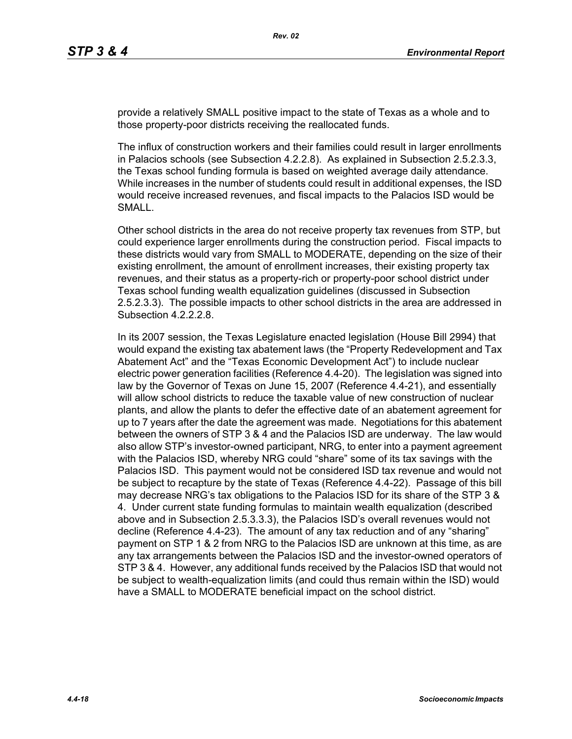provide a relatively SMALL positive impact to the state of Texas as a whole and to those property-poor districts receiving the reallocated funds.

The influx of construction workers and their families could result in larger enrollments in Palacios schools (see Subsection 4.2.2.8). As explained in Subsection 2.5.2.3.3, the Texas school funding formula is based on weighted average daily attendance. While increases in the number of students could result in additional expenses, the ISD would receive increased revenues, and fiscal impacts to the Palacios ISD would be SMALL.

Other school districts in the area do not receive property tax revenues from STP, but could experience larger enrollments during the construction period. Fiscal impacts to these districts would vary from SMALL to MODERATE, depending on the size of their existing enrollment, the amount of enrollment increases, their existing property tax revenues, and their status as a property-rich or property-poor school district under Texas school funding wealth equalization guidelines (discussed in Subsection 2.5.2.3.3). The possible impacts to other school districts in the area are addressed in Subsection 4.2.2.2.8.

In its 2007 session, the Texas Legislature enacted legislation (House Bill 2994) that would expand the existing tax abatement laws (the "Property Redevelopment and Tax Abatement Act" and the "Texas Economic Development Act") to include nuclear electric power generation facilities (Reference 4.4-20). The legislation was signed into law by the Governor of Texas on June 15, 2007 (Reference 4.4-21), and essentially will allow school districts to reduce the taxable value of new construction of nuclear plants, and allow the plants to defer the effective date of an abatement agreement for up to 7 years after the date the agreement was made. Negotiations for this abatement between the owners of STP 3 & 4 and the Palacios ISD are underway. The law would also allow STP's investor-owned participant, NRG, to enter into a payment agreement with the Palacios ISD, whereby NRG could "share" some of its tax savings with the Palacios ISD. This payment would not be considered ISD tax revenue and would not be subject to recapture by the state of Texas (Reference 4.4-22). Passage of this bill may decrease NRG's tax obligations to the Palacios ISD for its share of the STP 3 & 4. Under current state funding formulas to maintain wealth equalization (described above and in Subsection 2.5.3.3.3), the Palacios ISD's overall revenues would not decline (Reference 4.4-23). The amount of any tax reduction and of any "sharing" payment on STP 1 & 2 from NRG to the Palacios ISD are unknown at this time, as are any tax arrangements between the Palacios ISD and the investor-owned operators of STP 3 & 4. However, any additional funds received by the Palacios ISD that would not be subject to wealth-equalization limits (and could thus remain within the ISD) would have a SMALL to MODERATE beneficial impact on the school district.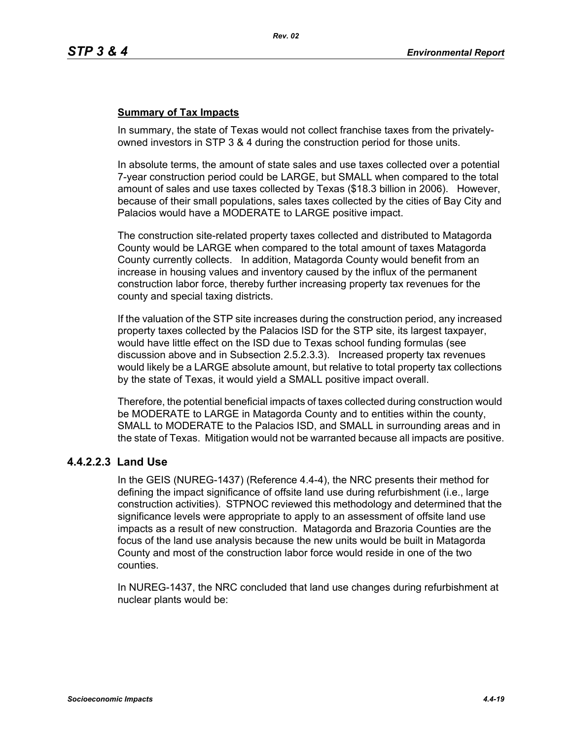## **Summary of Tax Impacts**

In summary, the state of Texas would not collect franchise taxes from the privatelyowned investors in STP 3 & 4 during the construction period for those units.

In absolute terms, the amount of state sales and use taxes collected over a potential 7-year construction period could be LARGE, but SMALL when compared to the total amount of sales and use taxes collected by Texas (\$18.3 billion in 2006). However, because of their small populations, sales taxes collected by the cities of Bay City and Palacios would have a MODERATE to LARGE positive impact.

The construction site-related property taxes collected and distributed to Matagorda County would be LARGE when compared to the total amount of taxes Matagorda County currently collects. In addition, Matagorda County would benefit from an increase in housing values and inventory caused by the influx of the permanent construction labor force, thereby further increasing property tax revenues for the county and special taxing districts.

If the valuation of the STP site increases during the construction period, any increased property taxes collected by the Palacios ISD for the STP site, its largest taxpayer, would have little effect on the ISD due to Texas school funding formulas (see discussion above and in Subsection 2.5.2.3.3). Increased property tax revenues would likely be a LARGE absolute amount, but relative to total property tax collections by the state of Texas, it would yield a SMALL positive impact overall.

Therefore, the potential beneficial impacts of taxes collected during construction would be MODERATE to LARGE in Matagorda County and to entities within the county, SMALL to MODERATE to the Palacios ISD, and SMALL in surrounding areas and in the state of Texas. Mitigation would not be warranted because all impacts are positive.

# **4.4.2.2.3 Land Use**

In the GEIS (NUREG-1437) (Reference 4.4-4), the NRC presents their method for defining the impact significance of offsite land use during refurbishment (i.e., large construction activities). STPNOC reviewed this methodology and determined that the significance levels were appropriate to apply to an assessment of offsite land use impacts as a result of new construction. Matagorda and Brazoria Counties are the focus of the land use analysis because the new units would be built in Matagorda County and most of the construction labor force would reside in one of the two counties.

In NUREG-1437, the NRC concluded that land use changes during refurbishment at nuclear plants would be: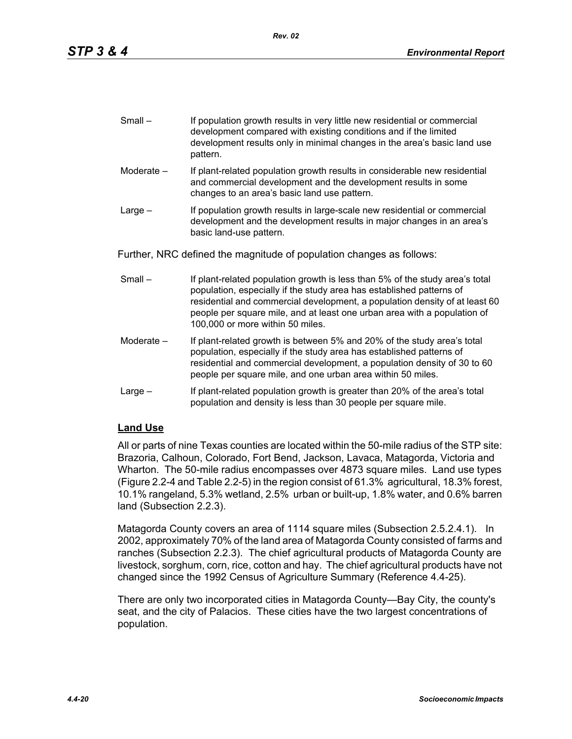| $Small -$ | If population growth results in very little new residential or commercial |
|-----------|---------------------------------------------------------------------------|
|           | development compared with existing conditions and if the limited          |
|           | development results only in minimal changes in the area's basic land use  |
|           | pattern.                                                                  |

- Moderate If plant-related population growth results in considerable new residential and commercial development and the development results in some changes to an area's basic land use pattern.
- Large If population growth results in large-scale new residential or commercial development and the development results in major changes in an area's basic land-use pattern.

Further, NRC defined the magnitude of population changes as follows:

- Small If plant-related population growth is less than 5% of the study area's total population, especially if the study area has established patterns of residential and commercial development, a population density of at least 60 people per square mile, and at least one urban area with a population of 100,000 or more within 50 miles.
- Moderate If plant-related growth is between 5% and 20% of the study area's total population, especially if the study area has established patterns of residential and commercial development, a population density of 30 to 60 people per square mile, and one urban area within 50 miles.
- Large If plant-related population growth is greater than 20% of the area's total population and density is less than 30 people per square mile.

# **Land Use**

All or parts of nine Texas counties are located within the 50-mile radius of the STP site: Brazoria, Calhoun, Colorado, Fort Bend, Jackson, Lavaca, Matagorda, Victoria and Wharton. The 50-mile radius encompasses over 4873 square miles. Land use types (Figure 2.2-4 and Table 2.2-5) in the region consist of 61.3% agricultural, 18.3% forest, 10.1% rangeland, 5.3% wetland, 2.5% urban or built-up, 1.8% water, and 0.6% barren land (Subsection 2.2.3).

Matagorda County covers an area of 1114 square miles (Subsection 2.5.2.4.1). In 2002, approximately 70% of the land area of Matagorda County consisted of farms and ranches (Subsection 2.2.3). The chief agricultural products of Matagorda County are livestock, sorghum, corn, rice, cotton and hay. The chief agricultural products have not changed since the 1992 Census of Agriculture Summary (Reference 4.4-25).

There are only two incorporated cities in Matagorda County—Bay City, the county's seat, and the city of Palacios. These cities have the two largest concentrations of population.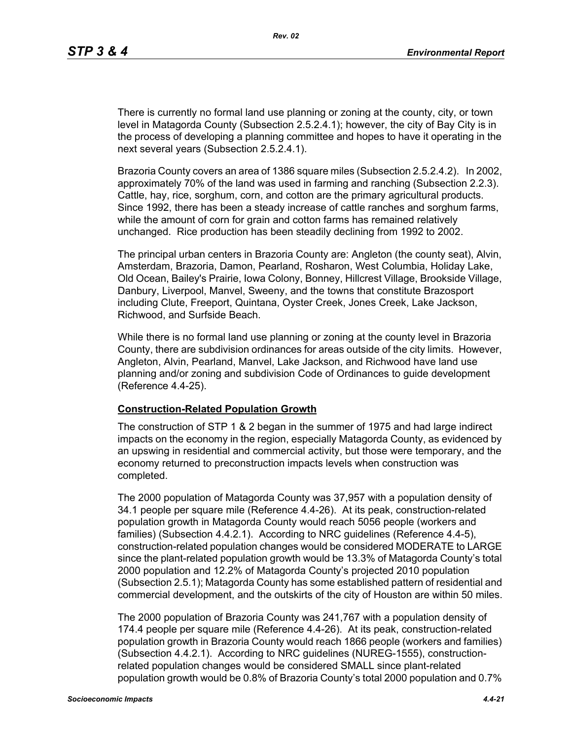There is currently no formal land use planning or zoning at the county, city, or town level in Matagorda County (Subsection 2.5.2.4.1); however, the city of Bay City is in the process of developing a planning committee and hopes to have it operating in the next several years (Subsection 2.5.2.4.1).

Brazoria County covers an area of 1386 square miles (Subsection 2.5.2.4.2). In 2002, approximately 70% of the land was used in farming and ranching (Subsection 2.2.3). Cattle, hay, rice, sorghum, corn, and cotton are the primary agricultural products. Since 1992, there has been a steady increase of cattle ranches and sorghum farms, while the amount of corn for grain and cotton farms has remained relatively unchanged. Rice production has been steadily declining from 1992 to 2002.

The principal urban centers in Brazoria County are: Angleton (the county seat), Alvin, Amsterdam, Brazoria, Damon, Pearland, Rosharon, West Columbia, Holiday Lake, Old Ocean, Bailey's Prairie, Iowa Colony, Bonney, Hillcrest Village, Brookside Village, Danbury, Liverpool, Manvel, Sweeny, and the towns that constitute Brazosport including Clute, Freeport, Quintana, Oyster Creek, Jones Creek, Lake Jackson, Richwood, and Surfside Beach.

While there is no formal land use planning or zoning at the county level in Brazoria County, there are subdivision ordinances for areas outside of the city limits. However, Angleton, Alvin, Pearland, Manvel, Lake Jackson, and Richwood have land use planning and/or zoning and subdivision Code of Ordinances to guide development (Reference 4.4-25).

#### **Construction-Related Population Growth**

The construction of STP 1 & 2 began in the summer of 1975 and had large indirect impacts on the economy in the region, especially Matagorda County, as evidenced by an upswing in residential and commercial activity, but those were temporary, and the economy returned to preconstruction impacts levels when construction was completed.

The 2000 population of Matagorda County was 37,957 with a population density of 34.1 people per square mile (Reference 4.4-26). At its peak, construction-related population growth in Matagorda County would reach 5056 people (workers and families) (Subsection 4.4.2.1). According to NRC guidelines (Reference 4.4-5), construction-related population changes would be considered MODERATE to LARGE since the plant-related population growth would be 13.3% of Matagorda County's total 2000 population and 12.2% of Matagorda County's projected 2010 population (Subsection 2.5.1); Matagorda County has some established pattern of residential and commercial development, and the outskirts of the city of Houston are within 50 miles.

The 2000 population of Brazoria County was 241,767 with a population density of 174.4 people per square mile (Reference 4.4-26). At its peak, construction-related population growth in Brazoria County would reach 1866 people (workers and families) (Subsection 4.4.2.1). According to NRC guidelines (NUREG-1555), constructionrelated population changes would be considered SMALL since plant-related population growth would be 0.8% of Brazoria County's total 2000 population and 0.7%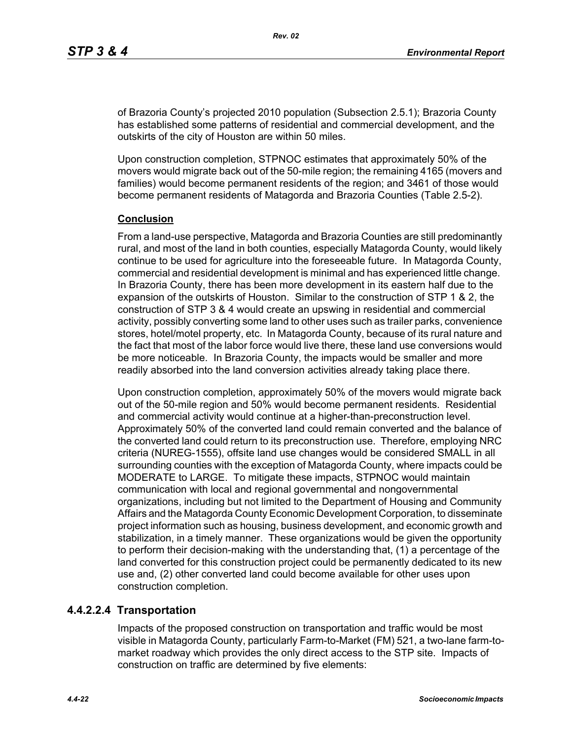of Brazoria County's projected 2010 population (Subsection 2.5.1); Brazoria County has established some patterns of residential and commercial development, and the outskirts of the city of Houston are within 50 miles.

Upon construction completion, STPNOC estimates that approximately 50% of the movers would migrate back out of the 50-mile region; the remaining 4165 (movers and families) would become permanent residents of the region; and 3461 of those would become permanent residents of Matagorda and Brazoria Counties (Table 2.5-2).

#### **Conclusion**

From a land-use perspective, Matagorda and Brazoria Counties are still predominantly rural, and most of the land in both counties, especially Matagorda County, would likely continue to be used for agriculture into the foreseeable future. In Matagorda County, commercial and residential development is minimal and has experienced little change. In Brazoria County, there has been more development in its eastern half due to the expansion of the outskirts of Houston. Similar to the construction of STP 1 & 2, the construction of STP 3 & 4 would create an upswing in residential and commercial activity, possibly converting some land to other uses such as trailer parks, convenience stores, hotel/motel property, etc. In Matagorda County, because of its rural nature and the fact that most of the labor force would live there, these land use conversions would be more noticeable. In Brazoria County, the impacts would be smaller and more readily absorbed into the land conversion activities already taking place there.

Upon construction completion, approximately 50% of the movers would migrate back out of the 50-mile region and 50% would become permanent residents. Residential and commercial activity would continue at a higher-than-preconstruction level. Approximately 50% of the converted land could remain converted and the balance of the converted land could return to its preconstruction use. Therefore, employing NRC criteria (NUREG-1555), offsite land use changes would be considered SMALL in all surrounding counties with the exception of Matagorda County, where impacts could be MODERATE to LARGE. To mitigate these impacts, STPNOC would maintain communication with local and regional governmental and nongovernmental organizations, including but not limited to the Department of Housing and Community Affairs and the Matagorda County Economic Development Corporation, to disseminate project information such as housing, business development, and economic growth and stabilization, in a timely manner. These organizations would be given the opportunity to perform their decision-making with the understanding that, (1) a percentage of the land converted for this construction project could be permanently dedicated to its new use and, (2) other converted land could become available for other uses upon construction completion.

## **4.4.2.2.4 Transportation**

Impacts of the proposed construction on transportation and traffic would be most visible in Matagorda County, particularly Farm-to-Market (FM) 521, a two-lane farm-tomarket roadway which provides the only direct access to the STP site. Impacts of construction on traffic are determined by five elements: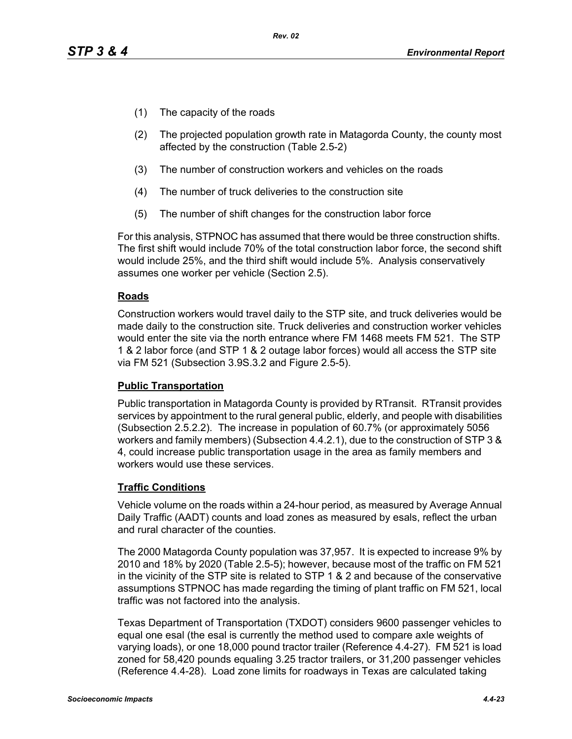- (1) The capacity of the roads
- (2) The projected population growth rate in Matagorda County, the county most affected by the construction (Table 2.5-2)
- (3) The number of construction workers and vehicles on the roads
- (4) The number of truck deliveries to the construction site
- (5) The number of shift changes for the construction labor force

For this analysis, STPNOC has assumed that there would be three construction shifts. The first shift would include 70% of the total construction labor force, the second shift would include 25%, and the third shift would include 5%. Analysis conservatively assumes one worker per vehicle (Section 2.5).

## **Roads**

Construction workers would travel daily to the STP site, and truck deliveries would be made daily to the construction site. Truck deliveries and construction worker vehicles would enter the site via the north entrance where FM 1468 meets FM 521. The STP 1 & 2 labor force (and STP 1 & 2 outage labor forces) would all access the STP site via FM 521 (Subsection 3.9S.3.2 and Figure 2.5-5).

#### **Public Transportation**

Public transportation in Matagorda County is provided by RTransit. RTransit provides services by appointment to the rural general public, elderly, and people with disabilities (Subsection 2.5.2.2). The increase in population of 60.7% (or approximately 5056 workers and family members) (Subsection 4.4.2.1), due to the construction of STP 3 & 4, could increase public transportation usage in the area as family members and workers would use these services.

## **Traffic Conditions**

Vehicle volume on the roads within a 24-hour period, as measured by Average Annual Daily Traffic (AADT) counts and load zones as measured by esals, reflect the urban and rural character of the counties.

The 2000 Matagorda County population was 37,957. It is expected to increase 9% by 2010 and 18% by 2020 (Table 2.5-5); however, because most of the traffic on FM 521 in the vicinity of the STP site is related to STP 1 & 2 and because of the conservative assumptions STPNOC has made regarding the timing of plant traffic on FM 521, local traffic was not factored into the analysis.

Texas Department of Transportation (TXDOT) considers 9600 passenger vehicles to equal one esal (the esal is currently the method used to compare axle weights of varying loads), or one 18,000 pound tractor trailer (Reference 4.4-27). FM 521 is load zoned for 58,420 pounds equaling 3.25 tractor trailers, or 31,200 passenger vehicles (Reference 4.4-28). Load zone limits for roadways in Texas are calculated taking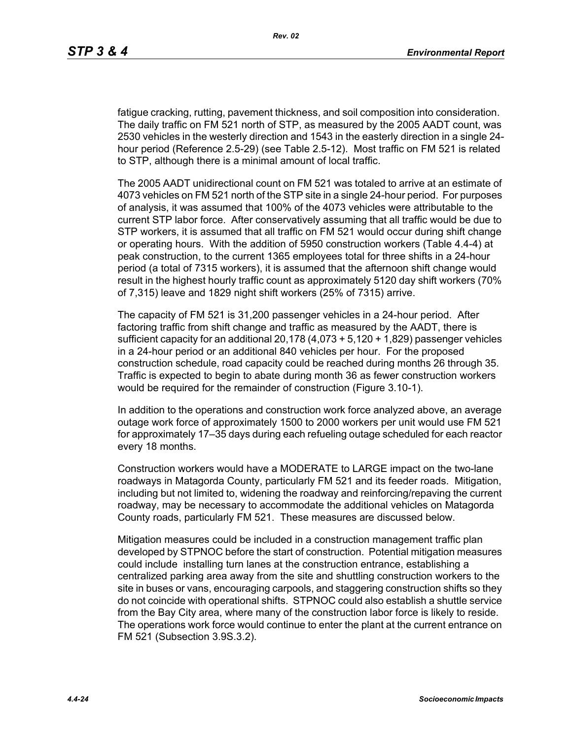fatigue cracking, rutting, pavement thickness, and soil composition into consideration. The daily traffic on FM 521 north of STP, as measured by the 2005 AADT count, was 2530 vehicles in the westerly direction and 1543 in the easterly direction in a single 24 hour period (Reference 2.5-29) (see Table 2.5-12). Most traffic on FM 521 is related to STP, although there is a minimal amount of local traffic.

The 2005 AADT unidirectional count on FM 521 was totaled to arrive at an estimate of 4073 vehicles on FM 521 north of the STP site in a single 24-hour period. For purposes of analysis, it was assumed that 100% of the 4073 vehicles were attributable to the current STP labor force. After conservatively assuming that all traffic would be due to STP workers, it is assumed that all traffic on FM 521 would occur during shift change or operating hours. With the addition of 5950 construction workers (Table 4.4-4) at peak construction, to the current 1365 employees total for three shifts in a 24-hour period (a total of 7315 workers), it is assumed that the afternoon shift change would result in the highest hourly traffic count as approximately 5120 day shift workers (70% of 7,315) leave and 1829 night shift workers (25% of 7315) arrive.

The capacity of FM 521 is 31,200 passenger vehicles in a 24-hour period. After factoring traffic from shift change and traffic as measured by the AADT, there is sufficient capacity for an additional 20,178 (4,073 + 5,120 + 1,829) passenger vehicles in a 24-hour period or an additional 840 vehicles per hour. For the proposed construction schedule, road capacity could be reached during months 26 through 35. Traffic is expected to begin to abate during month 36 as fewer construction workers would be required for the remainder of construction (Figure 3.10-1).

In addition to the operations and construction work force analyzed above, an average outage work force of approximately 1500 to 2000 workers per unit would use FM 521 for approximately 17–35 days during each refueling outage scheduled for each reactor every 18 months.

Construction workers would have a MODERATE to LARGE impact on the two-lane roadways in Matagorda County, particularly FM 521 and its feeder roads. Mitigation, including but not limited to, widening the roadway and reinforcing/repaving the current roadway, may be necessary to accommodate the additional vehicles on Matagorda County roads, particularly FM 521. These measures are discussed below.

Mitigation measures could be included in a construction management traffic plan developed by STPNOC before the start of construction. Potential mitigation measures could include installing turn lanes at the construction entrance, establishing a centralized parking area away from the site and shuttling construction workers to the site in buses or vans, encouraging carpools, and staggering construction shifts so they do not coincide with operational shifts. STPNOC could also establish a shuttle service from the Bay City area, where many of the construction labor force is likely to reside. The operations work force would continue to enter the plant at the current entrance on FM 521 (Subsection 3.9S.3.2).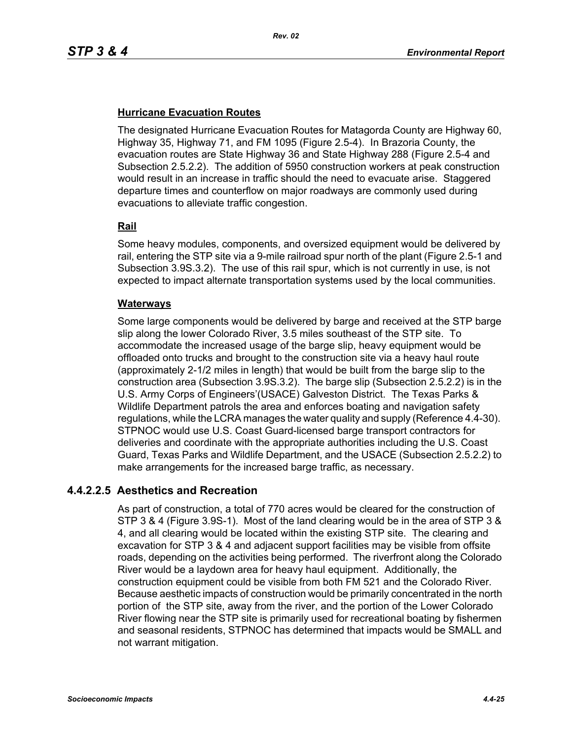## **Hurricane Evacuation Routes**

The designated Hurricane Evacuation Routes for Matagorda County are Highway 60, Highway 35, Highway 71, and FM 1095 (Figure 2.5-4). In Brazoria County, the evacuation routes are State Highway 36 and State Highway 288 (Figure 2.5-4 and Subsection 2.5.2.2). The addition of 5950 construction workers at peak construction would result in an increase in traffic should the need to evacuate arise. Staggered departure times and counterflow on major roadways are commonly used during evacuations to alleviate traffic congestion.

## **Rail**

Some heavy modules, components, and oversized equipment would be delivered by rail, entering the STP site via a 9-mile railroad spur north of the plant (Figure 2.5-1 and Subsection 3.9S.3.2). The use of this rail spur, which is not currently in use, is not expected to impact alternate transportation systems used by the local communities.

#### **Waterways**

Some large components would be delivered by barge and received at the STP barge slip along the lower Colorado River, 3.5 miles southeast of the STP site. To accommodate the increased usage of the barge slip, heavy equipment would be offloaded onto trucks and brought to the construction site via a heavy haul route (approximately 2-1/2 miles in length) that would be built from the barge slip to the construction area (Subsection 3.9S.3.2). The barge slip (Subsection 2.5.2.2) is in the U.S. Army Corps of Engineers'(USACE) Galveston District. The Texas Parks & Wildlife Department patrols the area and enforces boating and navigation safety regulations, while the LCRA manages the water quality and supply (Reference 4.4-30). STPNOC would use U.S. Coast Guard-licensed barge transport contractors for deliveries and coordinate with the appropriate authorities including the U.S. Coast Guard, Texas Parks and Wildlife Department, and the USACE (Subsection 2.5.2.2) to make arrangements for the increased barge traffic, as necessary.

# **4.4.2.2.5 Aesthetics and Recreation**

As part of construction, a total of 770 acres would be cleared for the construction of STP 3 & 4 (Figure 3.9S-1). Most of the land clearing would be in the area of STP 3 & 4, and all clearing would be located within the existing STP site. The clearing and excavation for STP 3 & 4 and adjacent support facilities may be visible from offsite roads, depending on the activities being performed. The riverfront along the Colorado River would be a laydown area for heavy haul equipment. Additionally, the construction equipment could be visible from both FM 521 and the Colorado River. Because aesthetic impacts of construction would be primarily concentrated in the north portion of the STP site, away from the river, and the portion of the Lower Colorado River flowing near the STP site is primarily used for recreational boating by fishermen and seasonal residents, STPNOC has determined that impacts would be SMALL and not warrant mitigation.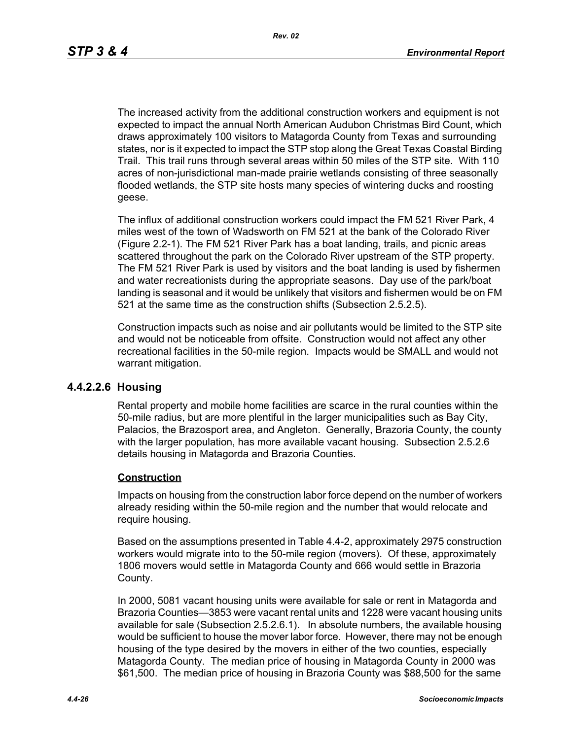The increased activity from the additional construction workers and equipment is not expected to impact the annual North American Audubon Christmas Bird Count, which draws approximately 100 visitors to Matagorda County from Texas and surrounding states, nor is it expected to impact the STP stop along the Great Texas Coastal Birding Trail. This trail runs through several areas within 50 miles of the STP site. With 110 acres of non-jurisdictional man-made prairie wetlands consisting of three seasonally flooded wetlands, the STP site hosts many species of wintering ducks and roosting geese.

The influx of additional construction workers could impact the FM 521 River Park, 4 miles west of the town of Wadsworth on FM 521 at the bank of the Colorado River (Figure 2.2-1). The FM 521 River Park has a boat landing, trails, and picnic areas scattered throughout the park on the Colorado River upstream of the STP property. The FM 521 River Park is used by visitors and the boat landing is used by fishermen and water recreationists during the appropriate seasons. Day use of the park/boat landing is seasonal and it would be unlikely that visitors and fishermen would be on FM 521 at the same time as the construction shifts (Subsection 2.5.2.5).

Construction impacts such as noise and air pollutants would be limited to the STP site and would not be noticeable from offsite. Construction would not affect any other recreational facilities in the 50-mile region. Impacts would be SMALL and would not warrant mitigation.

## **4.4.2.2.6 Housing**

Rental property and mobile home facilities are scarce in the rural counties within the 50-mile radius, but are more plentiful in the larger municipalities such as Bay City, Palacios, the Brazosport area, and Angleton. Generally, Brazoria County, the county with the larger population, has more available vacant housing. Subsection 2.5.2.6 details housing in Matagorda and Brazoria Counties.

#### **Construction**

Impacts on housing from the construction labor force depend on the number of workers already residing within the 50-mile region and the number that would relocate and require housing.

Based on the assumptions presented in Table 4.4-2, approximately 2975 construction workers would migrate into to the 50-mile region (movers). Of these, approximately 1806 movers would settle in Matagorda County and 666 would settle in Brazoria County.

In 2000, 5081 vacant housing units were available for sale or rent in Matagorda and Brazoria Counties—3853 were vacant rental units and 1228 were vacant housing units available for sale (Subsection 2.5.2.6.1). In absolute numbers, the available housing would be sufficient to house the mover labor force. However, there may not be enough housing of the type desired by the movers in either of the two counties, especially Matagorda County. The median price of housing in Matagorda County in 2000 was \$61,500. The median price of housing in Brazoria County was \$88,500 for the same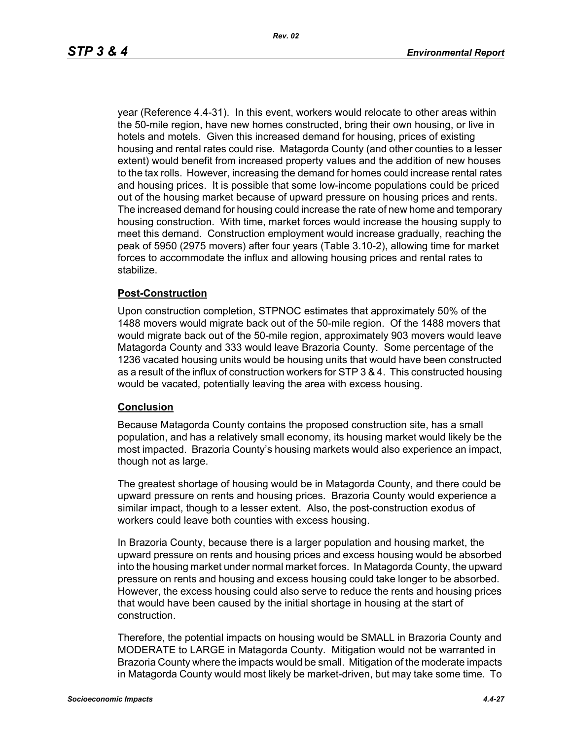year (Reference 4.4-31). In this event, workers would relocate to other areas within the 50-mile region, have new homes constructed, bring their own housing, or live in hotels and motels. Given this increased demand for housing, prices of existing housing and rental rates could rise. Matagorda County (and other counties to a lesser extent) would benefit from increased property values and the addition of new houses to the tax rolls. However, increasing the demand for homes could increase rental rates and housing prices. It is possible that some low-income populations could be priced out of the housing market because of upward pressure on housing prices and rents. The increased demand for housing could increase the rate of new home and temporary housing construction. With time, market forces would increase the housing supply to meet this demand. Construction employment would increase gradually, reaching the peak of 5950 (2975 movers) after four years (Table 3.10-2), allowing time for market forces to accommodate the influx and allowing housing prices and rental rates to stabilize.

#### **Post-Construction**

Upon construction completion, STPNOC estimates that approximately 50% of the 1488 movers would migrate back out of the 50-mile region. Of the 1488 movers that would migrate back out of the 50-mile region, approximately 903 movers would leave Matagorda County and 333 would leave Brazoria County. Some percentage of the 1236 vacated housing units would be housing units that would have been constructed as a result of the influx of construction workers for STP 3 & 4. This constructed housing would be vacated, potentially leaving the area with excess housing.

## **Conclusion**

Because Matagorda County contains the proposed construction site, has a small population, and has a relatively small economy, its housing market would likely be the most impacted. Brazoria County's housing markets would also experience an impact, though not as large.

The greatest shortage of housing would be in Matagorda County, and there could be upward pressure on rents and housing prices. Brazoria County would experience a similar impact, though to a lesser extent. Also, the post-construction exodus of workers could leave both counties with excess housing.

In Brazoria County, because there is a larger population and housing market, the upward pressure on rents and housing prices and excess housing would be absorbed into the housing market under normal market forces. In Matagorda County, the upward pressure on rents and housing and excess housing could take longer to be absorbed. However, the excess housing could also serve to reduce the rents and housing prices that would have been caused by the initial shortage in housing at the start of construction.

Therefore, the potential impacts on housing would be SMALL in Brazoria County and MODERATE to LARGE in Matagorda County. Mitigation would not be warranted in Brazoria County where the impacts would be small. Mitigation of the moderate impacts in Matagorda County would most likely be market-driven, but may take some time. To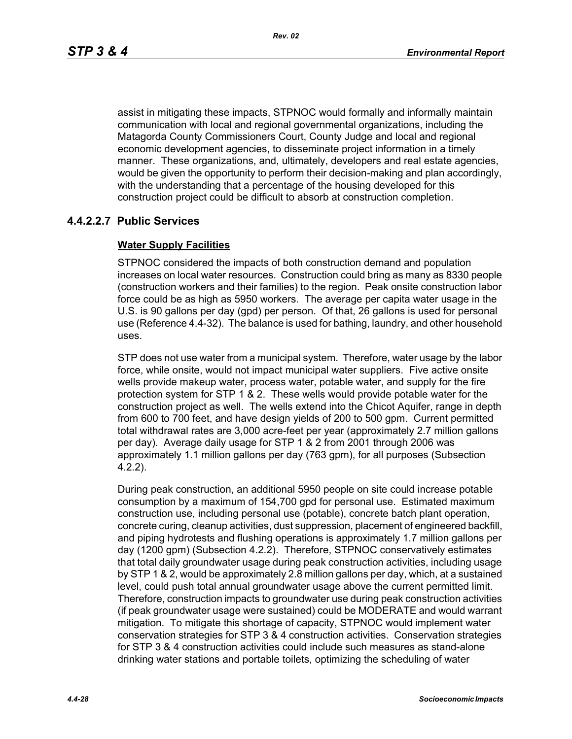assist in mitigating these impacts, STPNOC would formally and informally maintain communication with local and regional governmental organizations, including the Matagorda County Commissioners Court, County Judge and local and regional economic development agencies, to disseminate project information in a timely manner. These organizations, and, ultimately, developers and real estate agencies, would be given the opportunity to perform their decision-making and plan accordingly, with the understanding that a percentage of the housing developed for this construction project could be difficult to absorb at construction completion.

# **4.4.2.2.7 Public Services**

## **Water Supply Facilities**

STPNOC considered the impacts of both construction demand and population increases on local water resources. Construction could bring as many as 8330 people (construction workers and their families) to the region. Peak onsite construction labor force could be as high as 5950 workers. The average per capita water usage in the U.S. is 90 gallons per day (gpd) per person. Of that, 26 gallons is used for personal use (Reference 4.4-32). The balance is used for bathing, laundry, and other household uses.

STP does not use water from a municipal system. Therefore, water usage by the labor force, while onsite, would not impact municipal water suppliers. Five active onsite wells provide makeup water, process water, potable water, and supply for the fire protection system for STP 1 & 2. These wells would provide potable water for the construction project as well. The wells extend into the Chicot Aquifer, range in depth from 600 to 700 feet, and have design yields of 200 to 500 gpm. Current permitted total withdrawal rates are 3,000 acre-feet per year (approximately 2.7 million gallons per day). Average daily usage for STP 1 & 2 from 2001 through 2006 was approximately 1.1 million gallons per day (763 gpm), for all purposes (Subsection 4.2.2).

During peak construction, an additional 5950 people on site could increase potable consumption by a maximum of 154,700 gpd for personal use. Estimated maximum construction use, including personal use (potable), concrete batch plant operation, concrete curing, cleanup activities, dust suppression, placement of engineered backfill, and piping hydrotests and flushing operations is approximately 1.7 million gallons per day (1200 gpm) (Subsection 4.2.2). Therefore, STPNOC conservatively estimates that total daily groundwater usage during peak construction activities, including usage by STP 1 & 2, would be approximately 2.8 million gallons per day, which, at a sustained level, could push total annual groundwater usage above the current permitted limit. Therefore, construction impacts to groundwater use during peak construction activities (if peak groundwater usage were sustained) could be MODERATE and would warrant mitigation. To mitigate this shortage of capacity, STPNOC would implement water conservation strategies for STP 3 & 4 construction activities. Conservation strategies for STP 3 & 4 construction activities could include such measures as stand-alone drinking water stations and portable toilets, optimizing the scheduling of water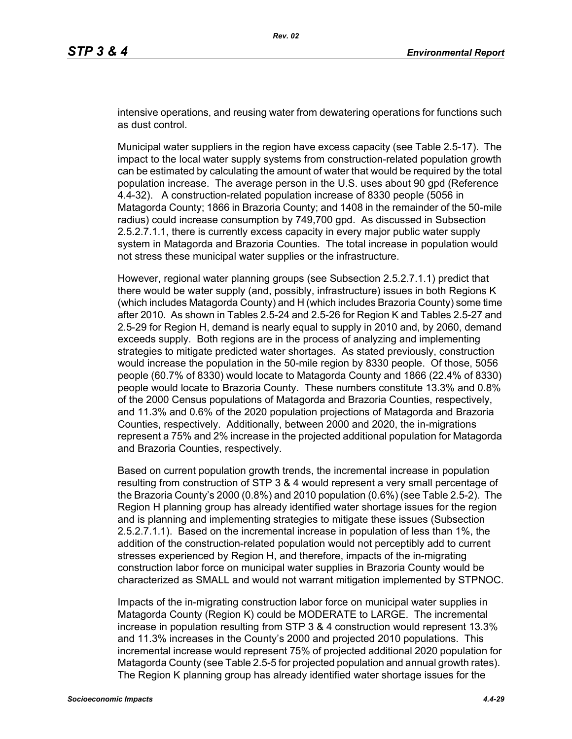intensive operations, and reusing water from dewatering operations for functions such as dust control.

Municipal water suppliers in the region have excess capacity (see Table 2.5-17). The impact to the local water supply systems from construction-related population growth can be estimated by calculating the amount of water that would be required by the total population increase. The average person in the U.S. uses about 90 gpd (Reference 4.4-32). A construction-related population increase of 8330 people (5056 in Matagorda County; 1866 in Brazoria County; and 1408 in the remainder of the 50-mile radius) could increase consumption by 749,700 gpd. As discussed in Subsection 2.5.2.7.1.1, there is currently excess capacity in every major public water supply system in Matagorda and Brazoria Counties. The total increase in population would not stress these municipal water supplies or the infrastructure.

However, regional water planning groups (see Subsection 2.5.2.7.1.1) predict that there would be water supply (and, possibly, infrastructure) issues in both Regions K (which includes Matagorda County) and H (which includes Brazoria County) some time after 2010. As shown in Tables 2.5-24 and 2.5-26 for Region K and Tables 2.5-27 and 2.5-29 for Region H, demand is nearly equal to supply in 2010 and, by 2060, demand exceeds supply. Both regions are in the process of analyzing and implementing strategies to mitigate predicted water shortages. As stated previously, construction would increase the population in the 50-mile region by 8330 people. Of those, 5056 people (60.7% of 8330) would locate to Matagorda County and 1866 (22.4% of 8330) people would locate to Brazoria County. These numbers constitute 13.3% and 0.8% of the 2000 Census populations of Matagorda and Brazoria Counties, respectively, and 11.3% and 0.6% of the 2020 population projections of Matagorda and Brazoria Counties, respectively. Additionally, between 2000 and 2020, the in-migrations represent a 75% and 2% increase in the projected additional population for Matagorda and Brazoria Counties, respectively.

Based on current population growth trends, the incremental increase in population resulting from construction of STP 3 & 4 would represent a very small percentage of the Brazoria County's 2000 (0.8%) and 2010 population (0.6%) (see Table 2.5-2). The Region H planning group has already identified water shortage issues for the region and is planning and implementing strategies to mitigate these issues (Subsection 2.5.2.7.1.1). Based on the incremental increase in population of less than 1%, the addition of the construction-related population would not perceptibly add to current stresses experienced by Region H, and therefore, impacts of the in-migrating construction labor force on municipal water supplies in Brazoria County would be characterized as SMALL and would not warrant mitigation implemented by STPNOC.

Impacts of the in-migrating construction labor force on municipal water supplies in Matagorda County (Region K) could be MODERATE to LARGE. The incremental increase in population resulting from STP 3 & 4 construction would represent 13.3% and 11.3% increases in the County's 2000 and projected 2010 populations. This incremental increase would represent 75% of projected additional 2020 population for Matagorda County (see Table 2.5-5 for projected population and annual growth rates). The Region K planning group has already identified water shortage issues for the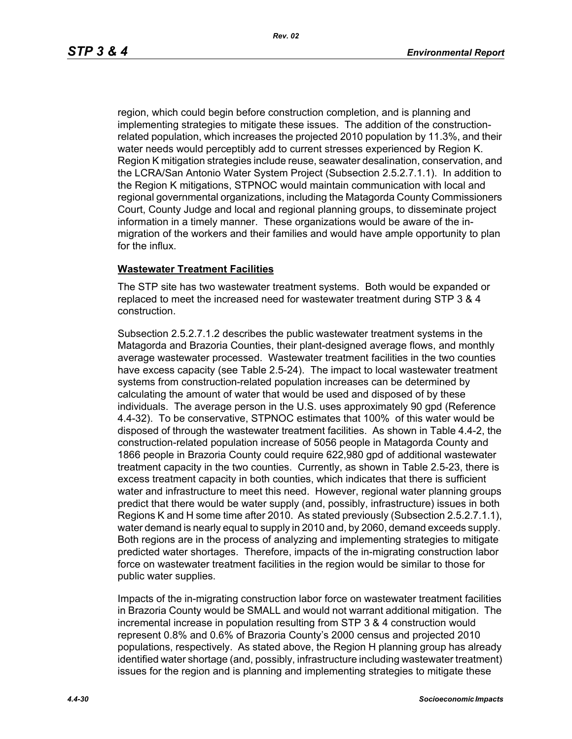region, which could begin before construction completion, and is planning and implementing strategies to mitigate these issues. The addition of the constructionrelated population, which increases the projected 2010 population by 11.3%, and their water needs would perceptibly add to current stresses experienced by Region K. Region K mitigation strategies include reuse, seawater desalination, conservation, and the LCRA/San Antonio Water System Project (Subsection 2.5.2.7.1.1). In addition to the Region K mitigations, STPNOC would maintain communication with local and regional governmental organizations, including the Matagorda County Commissioners Court, County Judge and local and regional planning groups, to disseminate project information in a timely manner. These organizations would be aware of the inmigration of the workers and their families and would have ample opportunity to plan for the influx.

#### **Wastewater Treatment Facilities**

The STP site has two wastewater treatment systems. Both would be expanded or replaced to meet the increased need for wastewater treatment during STP 3 & 4 construction.

Subsection 2.5.2.7.1.2 describes the public wastewater treatment systems in the Matagorda and Brazoria Counties, their plant-designed average flows, and monthly average wastewater processed. Wastewater treatment facilities in the two counties have excess capacity (see Table 2.5-24). The impact to local wastewater treatment systems from construction-related population increases can be determined by calculating the amount of water that would be used and disposed of by these individuals. The average person in the U.S. uses approximately 90 gpd (Reference 4.4-32). To be conservative, STPNOC estimates that 100% of this water would be disposed of through the wastewater treatment facilities. As shown in Table 4.4-2, the construction-related population increase of 5056 people in Matagorda County and 1866 people in Brazoria County could require 622,980 gpd of additional wastewater treatment capacity in the two counties. Currently, as shown in Table 2.5-23, there is excess treatment capacity in both counties, which indicates that there is sufficient water and infrastructure to meet this need. However, regional water planning groups predict that there would be water supply (and, possibly, infrastructure) issues in both Regions K and H some time after 2010. As stated previously (Subsection 2.5.2.7.1.1), water demand is nearly equal to supply in 2010 and, by 2060, demand exceeds supply. Both regions are in the process of analyzing and implementing strategies to mitigate predicted water shortages. Therefore, impacts of the in-migrating construction labor force on wastewater treatment facilities in the region would be similar to those for public water supplies.

Impacts of the in-migrating construction labor force on wastewater treatment facilities in Brazoria County would be SMALL and would not warrant additional mitigation. The incremental increase in population resulting from STP 3 & 4 construction would represent 0.8% and 0.6% of Brazoria County's 2000 census and projected 2010 populations, respectively. As stated above, the Region H planning group has already identified water shortage (and, possibly, infrastructure including wastewater treatment) issues for the region and is planning and implementing strategies to mitigate these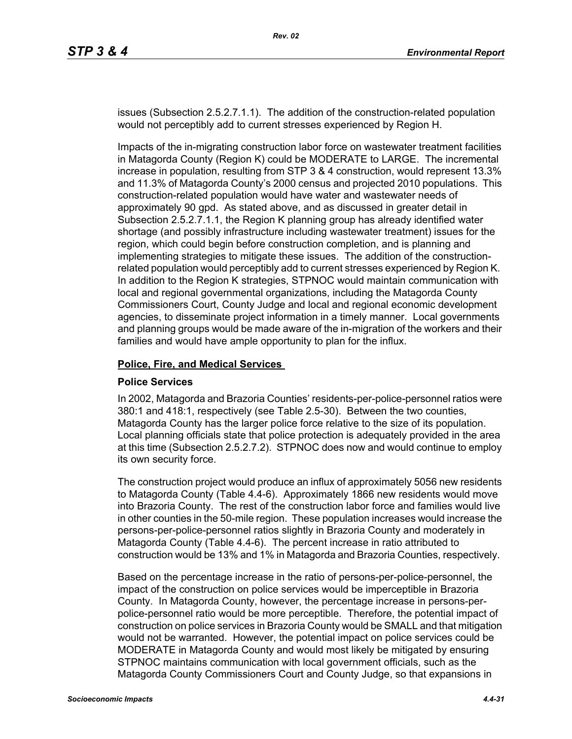issues (Subsection 2.5.2.7.1.1). The addition of the construction-related population would not perceptibly add to current stresses experienced by Region H.

Impacts of the in-migrating construction labor force on wastewater treatment facilities in Matagorda County (Region K) could be MODERATE to LARGE. The incremental increase in population, resulting from STP 3 & 4 construction, would represent 13.3% and 11.3% of Matagorda County's 2000 census and projected 2010 populations. This construction-related population would have water and wastewater needs of approximately 90 gpd. As stated above, and as discussed in greater detail in Subsection 2.5.2.7.1.1, the Region K planning group has already identified water shortage (and possibly infrastructure including wastewater treatment) issues for the region, which could begin before construction completion, and is planning and implementing strategies to mitigate these issues. The addition of the constructionrelated population would perceptibly add to current stresses experienced by Region K. In addition to the Region K strategies, STPNOC would maintain communication with local and regional governmental organizations, including the Matagorda County Commissioners Court, County Judge and local and regional economic development agencies, to disseminate project information in a timely manner. Local governments and planning groups would be made aware of the in-migration of the workers and their families and would have ample opportunity to plan for the influx.

#### **Police, Fire, and Medical Services**

#### **Police Services**

In 2002, Matagorda and Brazoria Counties' residents-per-police-personnel ratios were 380:1 and 418:1, respectively (see Table 2.5-30). Between the two counties, Matagorda County has the larger police force relative to the size of its population. Local planning officials state that police protection is adequately provided in the area at this time (Subsection 2.5.2.7.2). STPNOC does now and would continue to employ its own security force.

The construction project would produce an influx of approximately 5056 new residents to Matagorda County (Table 4.4-6). Approximately 1866 new residents would move into Brazoria County. The rest of the construction labor force and families would live in other counties in the 50-mile region. These population increases would increase the persons-per-police-personnel ratios slightly in Brazoria County and moderately in Matagorda County (Table 4.4-6). The percent increase in ratio attributed to construction would be 13% and 1% in Matagorda and Brazoria Counties, respectively.

Based on the percentage increase in the ratio of persons-per-police-personnel, the impact of the construction on police services would be imperceptible in Brazoria County. In Matagorda County, however, the percentage increase in persons-perpolice-personnel ratio would be more perceptible. Therefore, the potential impact of construction on police services in Brazoria County would be SMALL and that mitigation would not be warranted. However, the potential impact on police services could be MODERATE in Matagorda County and would most likely be mitigated by ensuring STPNOC maintains communication with local government officials, such as the Matagorda County Commissioners Court and County Judge, so that expansions in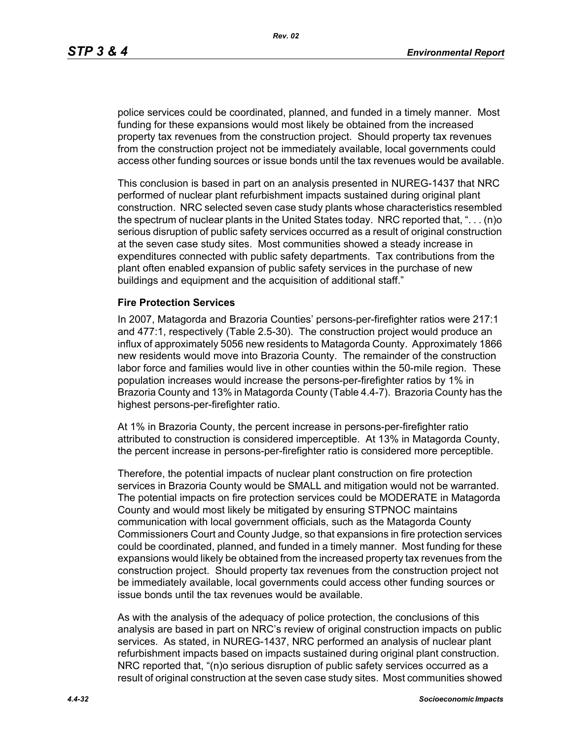police services could be coordinated, planned, and funded in a timely manner. Most funding for these expansions would most likely be obtained from the increased property tax revenues from the construction project. Should property tax revenues from the construction project not be immediately available, local governments could access other funding sources or issue bonds until the tax revenues would be available.

This conclusion is based in part on an analysis presented in NUREG-1437 that NRC performed of nuclear plant refurbishment impacts sustained during original plant construction. NRC selected seven case study plants whose characteristics resembled the spectrum of nuclear plants in the United States today. NRC reported that, ". . . (n)o serious disruption of public safety services occurred as a result of original construction at the seven case study sites. Most communities showed a steady increase in expenditures connected with public safety departments. Tax contributions from the plant often enabled expansion of public safety services in the purchase of new buildings and equipment and the acquisition of additional staff."

#### **Fire Protection Services**

In 2007, Matagorda and Brazoria Counties' persons-per-firefighter ratios were 217:1 and 477:1, respectively (Table 2.5-30). The construction project would produce an influx of approximately 5056 new residents to Matagorda County. Approximately 1866 new residents would move into Brazoria County. The remainder of the construction labor force and families would live in other counties within the 50-mile region. These population increases would increase the persons-per-firefighter ratios by 1% in Brazoria County and 13% in Matagorda County (Table 4.4-7). Brazoria County has the highest persons-per-firefighter ratio.

At 1% in Brazoria County, the percent increase in persons-per-firefighter ratio attributed to construction is considered imperceptible. At 13% in Matagorda County, the percent increase in persons-per-firefighter ratio is considered more perceptible.

Therefore, the potential impacts of nuclear plant construction on fire protection services in Brazoria County would be SMALL and mitigation would not be warranted. The potential impacts on fire protection services could be MODERATE in Matagorda County and would most likely be mitigated by ensuring STPNOC maintains communication with local government officials, such as the Matagorda County Commissioners Court and County Judge, so that expansions in fire protection services could be coordinated, planned, and funded in a timely manner. Most funding for these expansions would likely be obtained from the increased property tax revenues from the construction project. Should property tax revenues from the construction project not be immediately available, local governments could access other funding sources or issue bonds until the tax revenues would be available.

As with the analysis of the adequacy of police protection, the conclusions of this analysis are based in part on NRC's review of original construction impacts on public services. As stated, in NUREG-1437, NRC performed an analysis of nuclear plant refurbishment impacts based on impacts sustained during original plant construction. NRC reported that, "(n)o serious disruption of public safety services occurred as a result of original construction at the seven case study sites. Most communities showed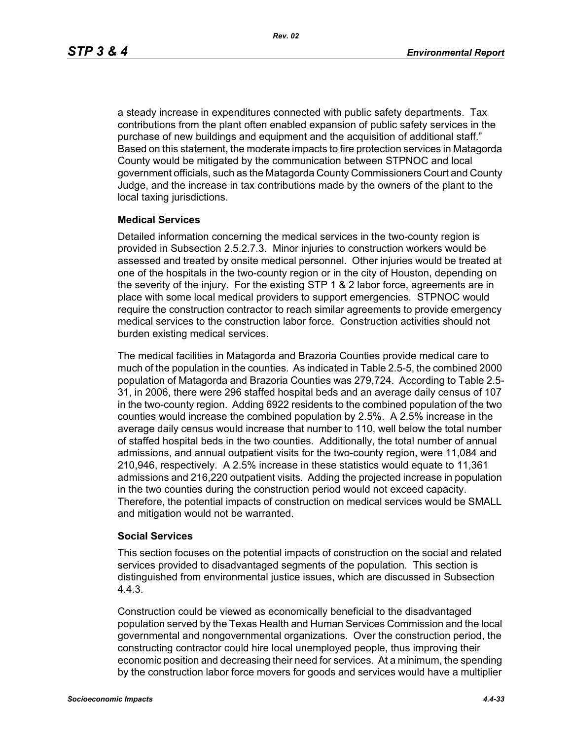a steady increase in expenditures connected with public safety departments. Tax contributions from the plant often enabled expansion of public safety services in the purchase of new buildings and equipment and the acquisition of additional staff." Based on this statement, the moderate impacts to fire protection services in Matagorda County would be mitigated by the communication between STPNOC and local government officials, such as the Matagorda County Commissioners Court and County Judge, and the increase in tax contributions made by the owners of the plant to the local taxing jurisdictions.

#### **Medical Services**

Detailed information concerning the medical services in the two-county region is provided in Subsection 2.5.2.7.3. Minor injuries to construction workers would be assessed and treated by onsite medical personnel. Other injuries would be treated at one of the hospitals in the two-county region or in the city of Houston, depending on the severity of the injury. For the existing STP 1 & 2 labor force, agreements are in place with some local medical providers to support emergencies. STPNOC would require the construction contractor to reach similar agreements to provide emergency medical services to the construction labor force. Construction activities should not burden existing medical services.

The medical facilities in Matagorda and Brazoria Counties provide medical care to much of the population in the counties. As indicated in Table 2.5-5, the combined 2000 population of Matagorda and Brazoria Counties was 279,724. According to Table 2.5- 31, in 2006, there were 296 staffed hospital beds and an average daily census of 107 in the two-county region. Adding 6922 residents to the combined population of the two counties would increase the combined population by 2.5%. A 2.5% increase in the average daily census would increase that number to 110, well below the total number of staffed hospital beds in the two counties. Additionally, the total number of annual admissions, and annual outpatient visits for the two-county region, were 11,084 and 210,946, respectively. A 2.5% increase in these statistics would equate to 11,361 admissions and 216,220 outpatient visits. Adding the projected increase in population in the two counties during the construction period would not exceed capacity. Therefore, the potential impacts of construction on medical services would be SMALL and mitigation would not be warranted.

#### **Social Services**

This section focuses on the potential impacts of construction on the social and related services provided to disadvantaged segments of the population. This section is distinguished from environmental justice issues, which are discussed in Subsection 4.4.3.

Construction could be viewed as economically beneficial to the disadvantaged population served by the Texas Health and Human Services Commission and the local governmental and nongovernmental organizations. Over the construction period, the constructing contractor could hire local unemployed people, thus improving their economic position and decreasing their need for services. At a minimum, the spending by the construction labor force movers for goods and services would have a multiplier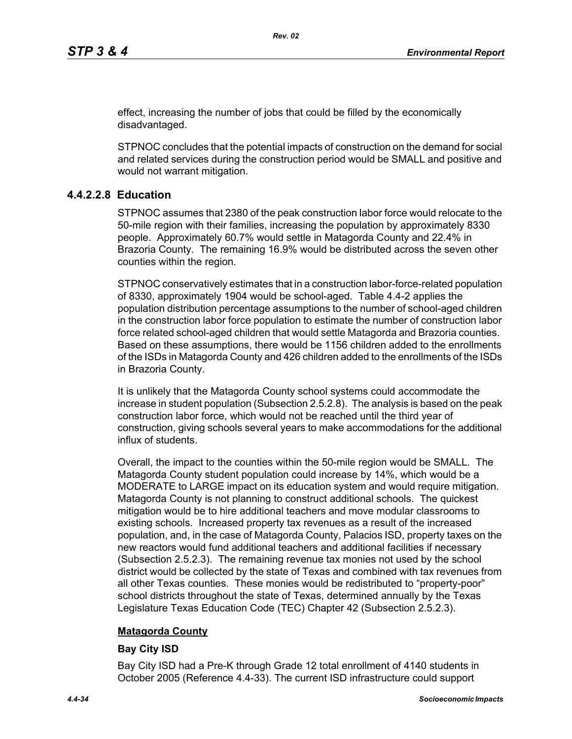effect, increasing the number of jobs that could be filled by the economically disadvantaged.

STPNOC concludes that the potential impacts of construction on the demand for social and related services during the construction period would be SMALL and positive and would not warrant mitigation.

## **4.4.2.2.8 Education**

STPNOC assumes that 2380 of the peak construction labor force would relocate to the 50-mile region with their families, increasing the population by approximately 8330 people. Approximately 60.7% would settle in Matagorda County and 22.4% in Brazoria County. The remaining 16.9% would be distributed across the seven other counties within the region.

STPNOC conservatively estimates that in a construction labor-force-related population of 8330, approximately 1904 would be school-aged. Table 4.4-2 applies the population distribution percentage assumptions to the number of school-aged children in the construction labor force population to estimate the number of construction labor force related school-aged children that would settle Matagorda and Brazoria counties. Based on these assumptions, there would be 1156 children added to the enrollments of the ISDs in Matagorda County and 426 children added to the enrollments of the ISDs in Brazoria County.

It is unlikely that the Matagorda County school systems could accommodate the increase in student population (Subsection 2.5.2.8). The analysis is based on the peak construction labor force, which would not be reached until the third year of construction, giving schools several years to make accommodations for the additional influx of students.

Overall, the impact to the counties within the 50-mile region would be SMALL. The Matagorda County student population could increase by 14%, which would be a MODERATE to LARGE impact on its education system and would require mitigation. Matagorda County is not planning to construct additional schools. The quickest mitigation would be to hire additional teachers and move modular classrooms to existing schools. Increased property tax revenues as a result of the increased population, and, in the case of Matagorda County, Palacios ISD, property taxes on the new reactors would fund additional teachers and additional facilities if necessary (Subsection 2.5.2.3). The remaining revenue tax monies not used by the school district would be collected by the state of Texas and combined with tax revenues from all other Texas counties. These monies would be redistributed to "property-poor" school districts throughout the state of Texas, determined annually by the Texas Legislature Texas Education Code (TEC) Chapter 42 (Subsection 2.5.2.3).

## **Matagorda County**

## **Bay City ISD**

Bay City ISD had a Pre-K through Grade 12 total enrollment of 4140 students in October 2005 (Reference 4.4-33). The current ISD infrastructure could support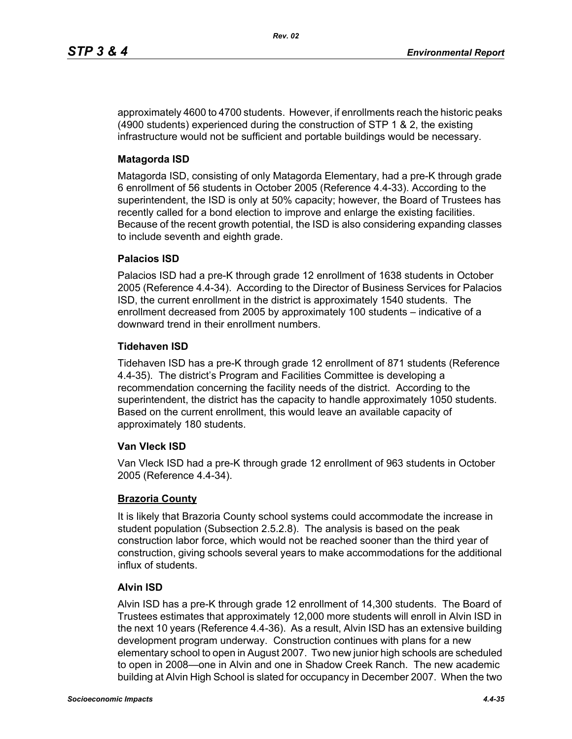approximately 4600 to 4700 students. However, if enrollments reach the historic peaks (4900 students) experienced during the construction of STP 1 & 2, the existing infrastructure would not be sufficient and portable buildings would be necessary.

## **Matagorda ISD**

Matagorda ISD, consisting of only Matagorda Elementary, had a pre-K through grade 6 enrollment of 56 students in October 2005 (Reference 4.4-33). According to the superintendent, the ISD is only at 50% capacity; however, the Board of Trustees has recently called for a bond election to improve and enlarge the existing facilities. Because of the recent growth potential, the ISD is also considering expanding classes to include seventh and eighth grade.

## **Palacios ISD**

Palacios ISD had a pre-K through grade 12 enrollment of 1638 students in October 2005 (Reference 4.4-34). According to the Director of Business Services for Palacios ISD, the current enrollment in the district is approximately 1540 students. The enrollment decreased from 2005 by approximately 100 students – indicative of a downward trend in their enrollment numbers.

## **Tidehaven ISD**

Tidehaven ISD has a pre-K through grade 12 enrollment of 871 students (Reference 4.4-35). The district's Program and Facilities Committee is developing a recommendation concerning the facility needs of the district. According to the superintendent, the district has the capacity to handle approximately 1050 students. Based on the current enrollment, this would leave an available capacity of approximately 180 students.

#### **Van Vleck ISD**

Van Vleck ISD had a pre-K through grade 12 enrollment of 963 students in October 2005 (Reference 4.4-34).

## **Brazoria County**

It is likely that Brazoria County school systems could accommodate the increase in student population (Subsection 2.5.2.8). The analysis is based on the peak construction labor force, which would not be reached sooner than the third year of construction, giving schools several years to make accommodations for the additional influx of students.

## **Alvin ISD**

Alvin ISD has a pre-K through grade 12 enrollment of 14,300 students. The Board of Trustees estimates that approximately 12,000 more students will enroll in Alvin ISD in the next 10 years (Reference 4.4-36). As a result, Alvin ISD has an extensive building development program underway. Construction continues with plans for a new elementary school to open in August 2007. Two new junior high schools are scheduled to open in 2008—one in Alvin and one in Shadow Creek Ranch. The new academic building at Alvin High School is slated for occupancy in December 2007. When the two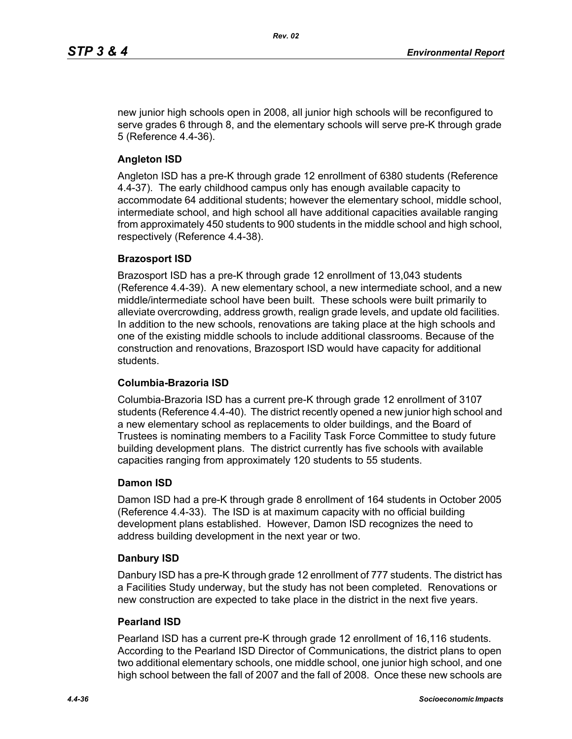new junior high schools open in 2008, all junior high schools will be reconfigured to serve grades 6 through 8, and the elementary schools will serve pre-K through grade 5 (Reference 4.4-36).

## **Angleton ISD**

Angleton ISD has a pre-K through grade 12 enrollment of 6380 students (Reference 4.4-37). The early childhood campus only has enough available capacity to accommodate 64 additional students; however the elementary school, middle school, intermediate school, and high school all have additional capacities available ranging from approximately 450 students to 900 students in the middle school and high school, respectively (Reference 4.4-38).

#### **Brazosport ISD**

Brazosport ISD has a pre-K through grade 12 enrollment of 13,043 students (Reference 4.4-39). A new elementary school, a new intermediate school, and a new middle/intermediate school have been built. These schools were built primarily to alleviate overcrowding, address growth, realign grade levels, and update old facilities. In addition to the new schools, renovations are taking place at the high schools and one of the existing middle schools to include additional classrooms. Because of the construction and renovations, Brazosport ISD would have capacity for additional students.

## **Columbia-Brazoria ISD**

Columbia-Brazoria ISD has a current pre-K through grade 12 enrollment of 3107 students (Reference 4.4-40). The district recently opened a new junior high school and a new elementary school as replacements to older buildings, and the Board of Trustees is nominating members to a Facility Task Force Committee to study future building development plans. The district currently has five schools with available capacities ranging from approximately 120 students to 55 students.

#### **Damon ISD**

Damon ISD had a pre-K through grade 8 enrollment of 164 students in October 2005 (Reference 4.4-33). The ISD is at maximum capacity with no official building development plans established. However, Damon ISD recognizes the need to address building development in the next year or two.

#### **Danbury ISD**

Danbury ISD has a pre-K through grade 12 enrollment of 777 students. The district has a Facilities Study underway, but the study has not been completed. Renovations or new construction are expected to take place in the district in the next five years.

#### **Pearland ISD**

Pearland ISD has a current pre-K through grade 12 enrollment of 16,116 students. According to the Pearland ISD Director of Communications, the district plans to open two additional elementary schools, one middle school, one junior high school, and one high school between the fall of 2007 and the fall of 2008. Once these new schools are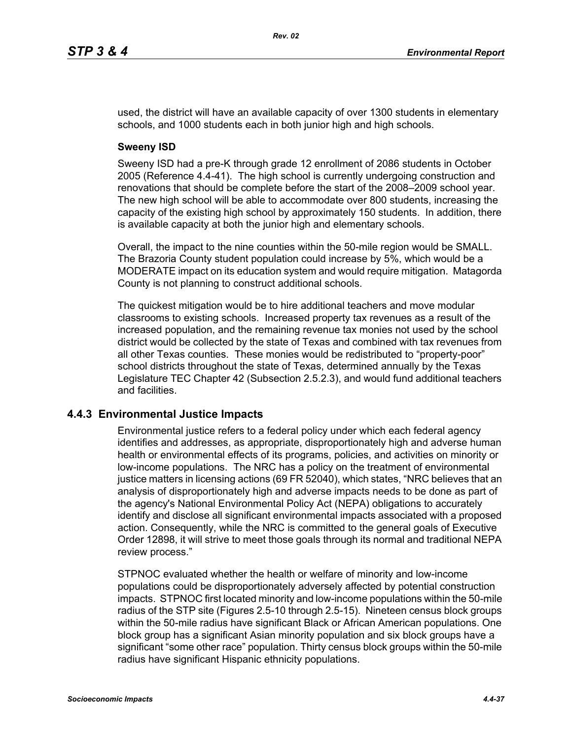used, the district will have an available capacity of over 1300 students in elementary schools, and 1000 students each in both junior high and high schools.

### **Sweeny ISD**

Sweeny ISD had a pre-K through grade 12 enrollment of 2086 students in October 2005 (Reference 4.4-41). The high school is currently undergoing construction and renovations that should be complete before the start of the 2008–2009 school year. The new high school will be able to accommodate over 800 students, increasing the capacity of the existing high school by approximately 150 students. In addition, there is available capacity at both the junior high and elementary schools.

Overall, the impact to the nine counties within the 50-mile region would be SMALL. The Brazoria County student population could increase by 5%, which would be a MODERATE impact on its education system and would require mitigation. Matagorda County is not planning to construct additional schools.

The quickest mitigation would be to hire additional teachers and move modular classrooms to existing schools. Increased property tax revenues as a result of the increased population, and the remaining revenue tax monies not used by the school district would be collected by the state of Texas and combined with tax revenues from all other Texas counties. These monies would be redistributed to "property-poor" school districts throughout the state of Texas, determined annually by the Texas Legislature TEC Chapter 42 (Subsection 2.5.2.3), and would fund additional teachers and facilities.

## **4.4.3 Environmental Justice Impacts**

Environmental justice refers to a federal policy under which each federal agency identifies and addresses, as appropriate, disproportionately high and adverse human health or environmental effects of its programs, policies, and activities on minority or low-income populations. The NRC has a policy on the treatment of environmental justice matters in licensing actions (69 FR 52040), which states, "NRC believes that an analysis of disproportionately high and adverse impacts needs to be done as part of the agency's National Environmental Policy Act (NEPA) obligations to accurately identify and disclose all significant environmental impacts associated with a proposed action. Consequently, while the NRC is committed to the general goals of Executive Order 12898, it will strive to meet those goals through its normal and traditional NEPA review process."

STPNOC evaluated whether the health or welfare of minority and low-income populations could be disproportionately adversely affected by potential construction impacts. STPNOC first located minority and low-income populations within the 50-mile radius of the STP site (Figures 2.5-10 through 2.5-15). Nineteen census block groups within the 50-mile radius have significant Black or African American populations. One block group has a significant Asian minority population and six block groups have a significant "some other race" population. Thirty census block groups within the 50-mile radius have significant Hispanic ethnicity populations.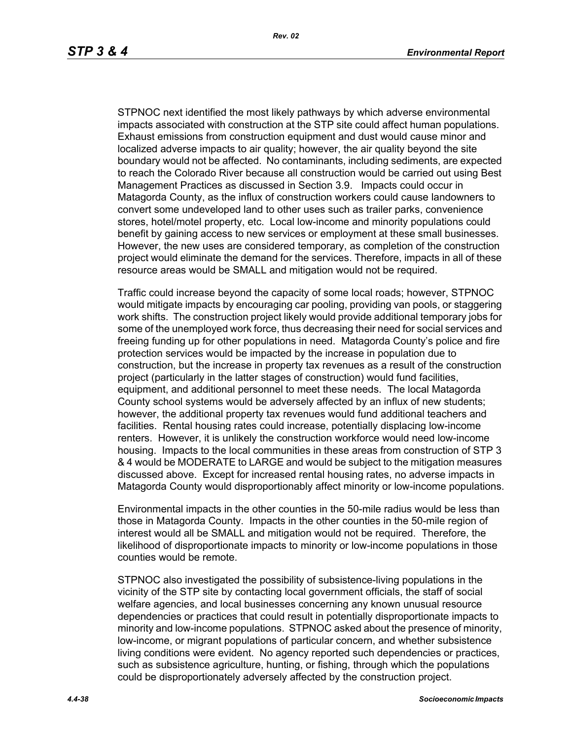STPNOC next identified the most likely pathways by which adverse environmental impacts associated with construction at the STP site could affect human populations. Exhaust emissions from construction equipment and dust would cause minor and localized adverse impacts to air quality; however, the air quality beyond the site boundary would not be affected. No contaminants, including sediments, are expected to reach the Colorado River because all construction would be carried out using Best Management Practices as discussed in Section 3.9. Impacts could occur in Matagorda County, as the influx of construction workers could cause landowners to convert some undeveloped land to other uses such as trailer parks, convenience stores, hotel/motel property, etc. Local low-income and minority populations could benefit by gaining access to new services or employment at these small businesses. However, the new uses are considered temporary, as completion of the construction project would eliminate the demand for the services. Therefore, impacts in all of these resource areas would be SMALL and mitigation would not be required.

Traffic could increase beyond the capacity of some local roads; however, STPNOC would mitigate impacts by encouraging car pooling, providing van pools, or staggering work shifts. The construction project likely would provide additional temporary jobs for some of the unemployed work force, thus decreasing their need for social services and freeing funding up for other populations in need. Matagorda County's police and fire protection services would be impacted by the increase in population due to construction, but the increase in property tax revenues as a result of the construction project (particularly in the latter stages of construction) would fund facilities, equipment, and additional personnel to meet these needs. The local Matagorda County school systems would be adversely affected by an influx of new students; however, the additional property tax revenues would fund additional teachers and facilities. Rental housing rates could increase, potentially displacing low-income renters. However, it is unlikely the construction workforce would need low-income housing. Impacts to the local communities in these areas from construction of STP 3 & 4 would be MODERATE to LARGE and would be subject to the mitigation measures discussed above. Except for increased rental housing rates, no adverse impacts in Matagorda County would disproportionably affect minority or low-income populations.

Environmental impacts in the other counties in the 50-mile radius would be less than those in Matagorda County. Impacts in the other counties in the 50-mile region of interest would all be SMALL and mitigation would not be required. Therefore, the likelihood of disproportionate impacts to minority or low-income populations in those counties would be remote.

STPNOC also investigated the possibility of subsistence-living populations in the vicinity of the STP site by contacting local government officials, the staff of social welfare agencies, and local businesses concerning any known unusual resource dependencies or practices that could result in potentially disproportionate impacts to minority and low-income populations. STPNOC asked about the presence of minority, low-income, or migrant populations of particular concern, and whether subsistence living conditions were evident. No agency reported such dependencies or practices, such as subsistence agriculture, hunting, or fishing, through which the populations could be disproportionately adversely affected by the construction project.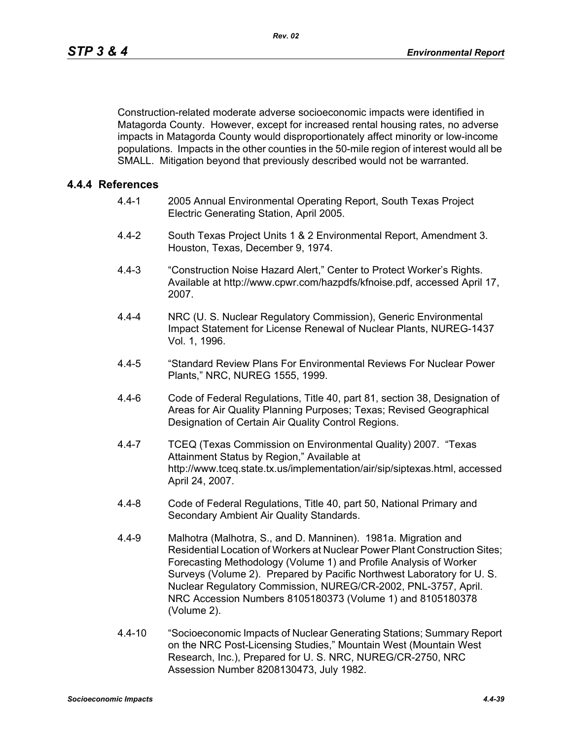Construction-related moderate adverse socioeconomic impacts were identified in Matagorda County. However, except for increased rental housing rates, no adverse impacts in Matagorda County would disproportionately affect minority or low-income populations. Impacts in the other counties in the 50-mile region of interest would all be SMALL. Mitigation beyond that previously described would not be warranted.

## **4.4.4 References**

- 4.4-1 2005 Annual Environmental Operating Report, South Texas Project Electric Generating Station, April 2005.
- 4.4-2 South Texas Project Units 1 & 2 Environmental Report, Amendment 3. Houston, Texas, December 9, 1974.
- 4.4-3 "Construction Noise Hazard Alert," Center to Protect Worker's Rights. Available at http://www.cpwr.com/hazpdfs/kfnoise.pdf, accessed April 17, 2007.
- 4.4-4 NRC (U. S. Nuclear Regulatory Commission), Generic Environmental Impact Statement for License Renewal of Nuclear Plants, NUREG-1437 Vol. 1, 1996.
- 4.4-5 "Standard Review Plans For Environmental Reviews For Nuclear Power Plants," NRC, NUREG 1555, 1999.
- 4.4-6 Code of Federal Regulations, Title 40, part 81, section 38, Designation of Areas for Air Quality Planning Purposes; Texas; Revised Geographical Designation of Certain Air Quality Control Regions.
- 4.4-7 TCEQ (Texas Commission on Environmental Quality) 2007. "Texas Attainment Status by Region," Available at http://www.tceq.state.tx.us/implementation/air/sip/siptexas.html, accessed April 24, 2007.
- 4.4-8 Code of Federal Regulations, Title 40, part 50, National Primary and Secondary Ambient Air Quality Standards.
- 4.4-9 Malhotra (Malhotra, S., and D. Manninen). 1981a. Migration and Residential Location of Workers at Nuclear Power Plant Construction Sites; Forecasting Methodology (Volume 1) and Profile Analysis of Worker Surveys (Volume 2). Prepared by Pacific Northwest Laboratory for U. S. Nuclear Regulatory Commission, NUREG/CR-2002, PNL-3757, April. NRC Accession Numbers 8105180373 (Volume 1) and 8105180378 (Volume 2).
- 4.4-10 "Socioeconomic Impacts of Nuclear Generating Stations; Summary Report on the NRC Post-Licensing Studies," Mountain West (Mountain West Research, Inc.), Prepared for U. S. NRC, NUREG/CR-2750, NRC Assession Number 8208130473, July 1982.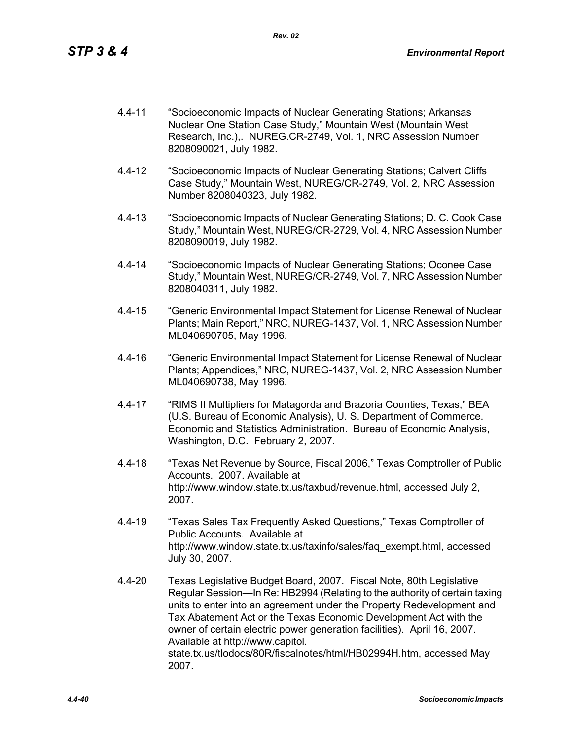- 4.4-11 "Socioeconomic Impacts of Nuclear Generating Stations; Arkansas Nuclear One Station Case Study," Mountain West (Mountain West Research, Inc.),. NUREG.CR-2749, Vol. 1, NRC Assession Number 8208090021, July 1982.
- 4.4-12 "Socioeconomic Impacts of Nuclear Generating Stations; Calvert Cliffs Case Study," Mountain West, NUREG/CR-2749, Vol. 2, NRC Assession Number 8208040323, July 1982.
- 4.4-13 "Socioeconomic Impacts of Nuclear Generating Stations; D. C. Cook Case Study," Mountain West, NUREG/CR-2729, Vol. 4, NRC Assession Number 8208090019, July 1982.
- 4.4-14 "Socioeconomic Impacts of Nuclear Generating Stations; Oconee Case Study," Mountain West, NUREG/CR-2749, Vol. 7, NRC Assession Number 8208040311, July 1982.
- 4.4-15 "Generic Environmental Impact Statement for License Renewal of Nuclear Plants; Main Report," NRC, NUREG-1437, Vol. 1, NRC Assession Number ML040690705, May 1996.
- 4.4-16 "Generic Environmental Impact Statement for License Renewal of Nuclear Plants; Appendices," NRC, NUREG-1437, Vol. 2, NRC Assession Number ML040690738, May 1996.
- 4.4-17 "RIMS II Multipliers for Matagorda and Brazoria Counties, Texas," BEA (U.S. Bureau of Economic Analysis), U. S. Department of Commerce. Economic and Statistics Administration. Bureau of Economic Analysis, Washington, D.C. February 2, 2007.
- 4.4-18 "Texas Net Revenue by Source, Fiscal 2006," Texas Comptroller of Public Accounts. 2007. Available at http://www.window.state.tx.us/taxbud/revenue.html, accessed July 2, 2007.
- 4.4-19 "Texas Sales Tax Frequently Asked Questions," Texas Comptroller of Public Accounts. Available at http://www.window.state.tx.us/taxinfo/sales/faq\_exempt.html, accessed July 30, 2007.
- 4.4-20 Texas Legislative Budget Board, 2007. Fiscal Note, 80th Legislative Regular Session—In Re: HB2994 (Relating to the authority of certain taxing units to enter into an agreement under the Property Redevelopment and Tax Abatement Act or the Texas Economic Development Act with the owner of certain electric power generation facilities). April 16, 2007. Available at http://www.capitol. state.tx.us/tlodocs/80R/fiscalnotes/html/HB02994H.htm, accessed May 2007.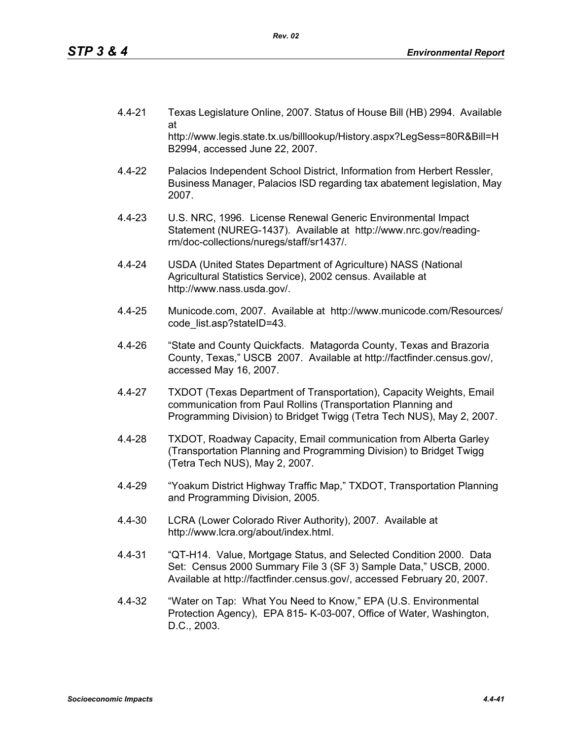- 4.4-21 Texas Legislature Online, 2007. Status of House Bill (HB) 2994. Available at http://www.legis.state.tx.us/billlookup/History.aspx?LegSess=80R&Bill=H B2994, accessed June 22, 2007.
- 4.4-22 Palacios Independent School District, Information from Herbert Ressler, Business Manager, Palacios ISD regarding tax abatement legislation, May 2007.
- 4.4-23 U.S. NRC, 1996. License Renewal Generic Environmental Impact Statement (NUREG-1437). Available at http://www.nrc.gov/readingrm/doc-collections/nuregs/staff/sr1437/.
- 4.4-24 USDA (United States Department of Agriculture) NASS (National Agricultural Statistics Service), 2002 census. Available at http://www.nass.usda.gov/.
- 4.4-25 Municode.com, 2007. Available at http://www.municode.com/Resources/ code\_list.asp?stateID=43.
- 4.4-26 "State and County Quickfacts. Matagorda County, Texas and Brazoria County, Texas," USCB 2007. Available at http://factfinder.census.gov/, accessed May 16, 2007.
- 4.4-27 TXDOT (Texas Department of Transportation), Capacity Weights, Email communication from Paul Rollins (Transportation Planning and Programming Division) to Bridget Twigg (Tetra Tech NUS), May 2, 2007.
- 4.4-28 TXDOT, Roadway Capacity, Email communication from Alberta Garley (Transportation Planning and Programming Division) to Bridget Twigg (Tetra Tech NUS), May 2, 2007.
- 4.4-29 "Yoakum District Highway Traffic Map," TXDOT, Transportation Planning and Programming Division, 2005.
- 4.4-30 LCRA (Lower Colorado River Authority), 2007. Available at http://www.lcra.org/about/index.html.
- 4.4-31 "QT-H14. Value, Mortgage Status, and Selected Condition 2000. Data Set: Census 2000 Summary File 3 (SF 3) Sample Data," USCB, 2000. Available at http://factfinder.census.gov/, accessed February 20, 2007.
- 4.4-32 "Water on Tap: What You Need to Know," EPA (U.S. Environmental Protection Agency), EPA 815- K-03-007, Office of Water, Washington, D.C., 2003.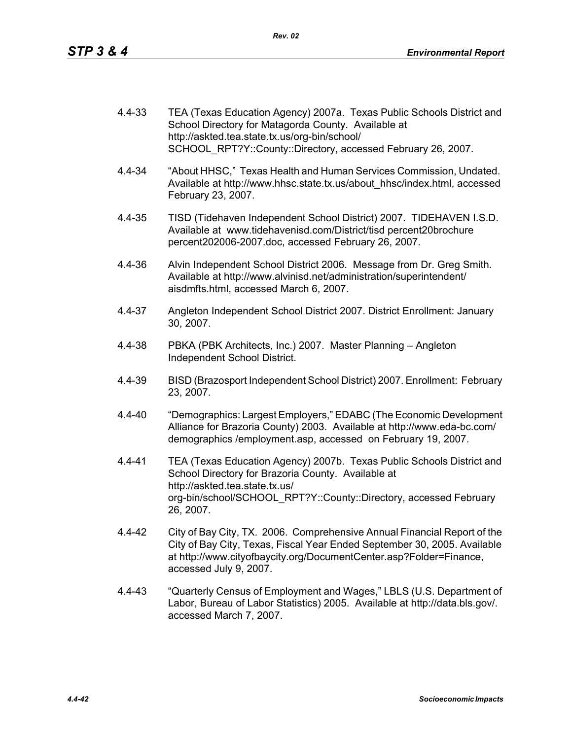| 4.4-33 | TEA (Texas Education Agency) 2007a. Texas Public Schools District and |
|--------|-----------------------------------------------------------------------|
|        | School Directory for Matagorda County. Available at                   |
|        | http://askted.tea.state.tx.us/org-bin/school/                         |
|        | SCHOOL RPT?Y::County::Directory, accessed February 26, 2007.          |

- 4.4-34 "About HHSC," Texas Health and Human Services Commission, Undated. Available at http://www.hhsc.state.tx.us/about\_hhsc/index.html, accessed February 23, 2007.
- 4.4-35 TISD (Tidehaven Independent School District) 2007. TIDEHAVEN I.S.D. Available at www.tidehavenisd.com/District/tisd percent20brochure percent202006-2007.doc, accessed February 26, 2007.
- 4.4-36 Alvin Independent School District 2006. Message from Dr. Greg Smith. Available at http://www.alvinisd.net/administration/superintendent/ aisdmfts.html, accessed March 6, 2007.
- 4.4-37 Angleton Independent School District 2007. District Enrollment: January 30, 2007.
- 4.4-38 PBKA (PBK Architects, Inc.) 2007. Master Planning Angleton Independent School District.
- 4.4-39 BISD (Brazosport Independent School District) 2007. Enrollment: February 23, 2007.
- 4.4-40 "Demographics: Largest Employers," EDABC (The Economic Development Alliance for Brazoria County) 2003. Available at http://www.eda-bc.com/ demographics /employment.asp, accessed on February 19, 2007.
- 4.4-41 TEA (Texas Education Agency) 2007b. Texas Public Schools District and School Directory for Brazoria County. Available at http://askted.tea.state.tx.us/ org-bin/school/SCHOOL\_RPT?Y::County::Directory, accessed February 26, 2007.
- 4.4-42 City of Bay City, TX. 2006. Comprehensive Annual Financial Report of the City of Bay City, Texas, Fiscal Year Ended September 30, 2005. Available at http://www.cityofbaycity.org/DocumentCenter.asp?Folder=Finance, accessed July 9, 2007.
- 4.4-43 "Quarterly Census of Employment and Wages," LBLS (U.S. Department of Labor, Bureau of Labor Statistics) 2005. Available at http://data.bls.gov/. accessed March 7, 2007.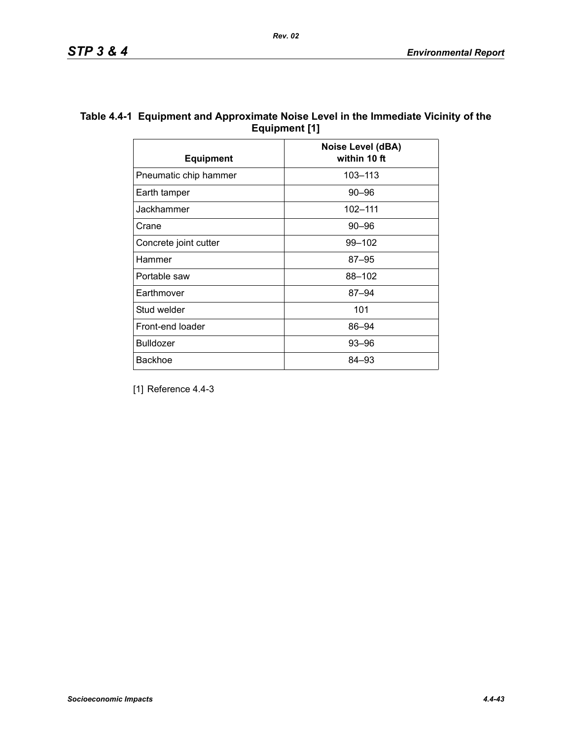| Table 4.4-1 Equipment and Approximate Noise Level in the Immediate Vicinity of the |
|------------------------------------------------------------------------------------|
| Equipment [1]                                                                      |

| <b>Equipment</b>      | Noise Level (dBA)<br>within 10 ft |
|-----------------------|-----------------------------------|
| Pneumatic chip hammer | 103-113                           |
| Earth tamper          | $90 - 96$                         |
| Jackhammer            | 102-111                           |
| Crane                 | $90 - 96$                         |
| Concrete joint cutter | 99-102                            |
| Hammer                | $87 - 95$                         |
| Portable saw          | 88-102                            |
| Earthmover            | $87 - 94$                         |
| Stud welder           | 101                               |
| Front-end loader      | 86-94                             |
| <b>Bulldozer</b>      | 93-96                             |
| <b>Backhoe</b>        | 84–93                             |

[1] Reference 4.4-3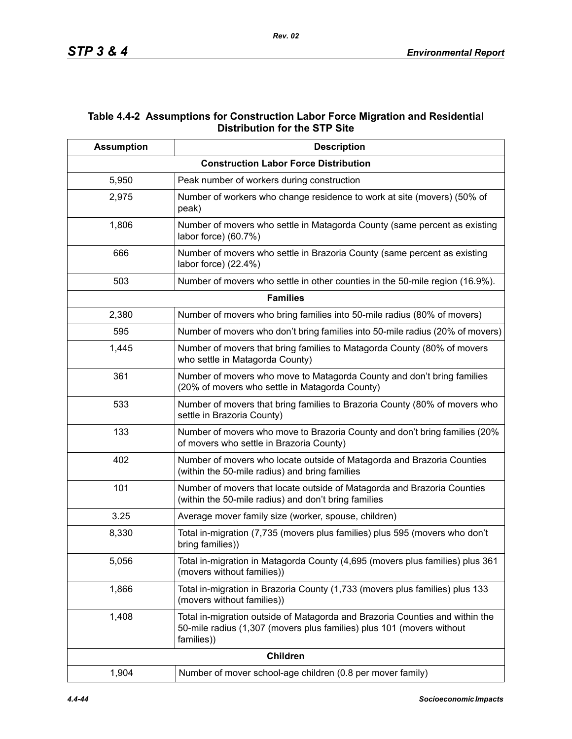## **Table 4.4-2 Assumptions for Construction Labor Force Migration and Residential Distribution for the STP Site**

| <b>Assumption</b> | <b>Description</b>                                                                                                                                                  |
|-------------------|---------------------------------------------------------------------------------------------------------------------------------------------------------------------|
|                   | <b>Construction Labor Force Distribution</b>                                                                                                                        |
| 5,950             | Peak number of workers during construction                                                                                                                          |
| 2,975             | Number of workers who change residence to work at site (movers) (50% of<br>peak)                                                                                    |
| 1,806             | Number of movers who settle in Matagorda County (same percent as existing<br>labor force) (60.7%)                                                                   |
| 666               | Number of movers who settle in Brazoria County (same percent as existing<br>labor force) (22.4%)                                                                    |
| 503               | Number of movers who settle in other counties in the 50-mile region (16.9%).                                                                                        |
|                   | <b>Families</b>                                                                                                                                                     |
| 2,380             | Number of movers who bring families into 50-mile radius (80% of movers)                                                                                             |
| 595               | Number of movers who don't bring families into 50-mile radius (20% of movers)                                                                                       |
| 1,445             | Number of movers that bring families to Matagorda County (80% of movers<br>who settle in Matagorda County)                                                          |
| 361               | Number of movers who move to Matagorda County and don't bring families<br>(20% of movers who settle in Matagorda County)                                            |
| 533               | Number of movers that bring families to Brazoria County (80% of movers who<br>settle in Brazoria County)                                                            |
| 133               | Number of movers who move to Brazoria County and don't bring families (20%<br>of movers who settle in Brazoria County)                                              |
| 402               | Number of movers who locate outside of Matagorda and Brazoria Counties<br>(within the 50-mile radius) and bring families                                            |
| 101               | Number of movers that locate outside of Matagorda and Brazoria Counties<br>(within the 50-mile radius) and don't bring families                                     |
| 3.25              | Average mover family size (worker, spouse, children)                                                                                                                |
| 8,330             | Total in-migration (7,735 (movers plus families) plus 595 (movers who don't<br>bring families))                                                                     |
| 5,056             | Total in-migration in Matagorda County (4,695 (movers plus families) plus 361<br>(movers without families))                                                         |
| 1,866             | Total in-migration in Brazoria County (1,733 (movers plus families) plus 133<br>(movers without families))                                                          |
| 1,408             | Total in-migration outside of Matagorda and Brazoria Counties and within the<br>50-mile radius (1,307 (movers plus families) plus 101 (movers without<br>families)) |
|                   | <b>Children</b>                                                                                                                                                     |
| 1,904             | Number of mover school-age children (0.8 per mover family)                                                                                                          |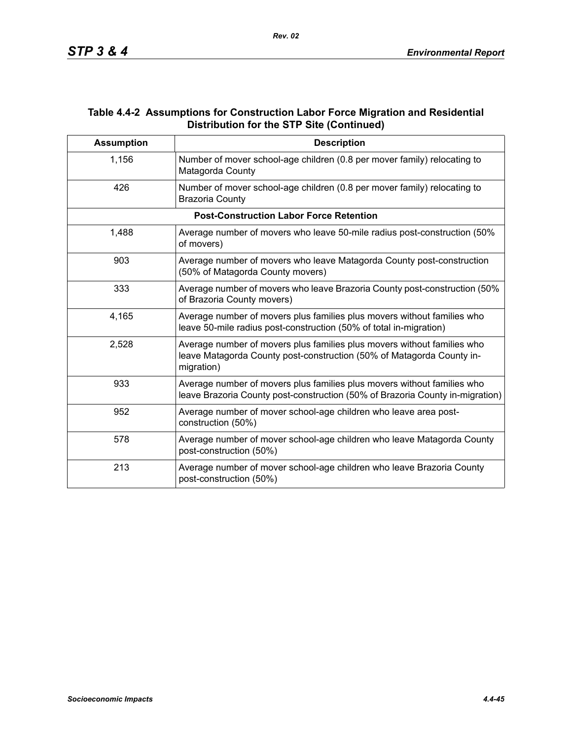## **Table 4.4-2 Assumptions for Construction Labor Force Migration and Residential Distribution for the STP Site (Continued)**

| <b>Assumption</b> | <b>Description</b>                                                                                                                                             |
|-------------------|----------------------------------------------------------------------------------------------------------------------------------------------------------------|
| 1,156             | Number of mover school-age children (0.8 per mover family) relocating to<br>Matagorda County                                                                   |
| 426               | Number of mover school-age children (0.8 per mover family) relocating to<br><b>Brazoria County</b>                                                             |
|                   | <b>Post-Construction Labor Force Retention</b>                                                                                                                 |
| 1,488             | Average number of movers who leave 50-mile radius post-construction (50%)<br>of movers)                                                                        |
| 903               | Average number of movers who leave Matagorda County post-construction<br>(50% of Matagorda County movers)                                                      |
| 333               | Average number of movers who leave Brazoria County post-construction (50%)<br>of Brazoria County movers)                                                       |
| 4,165             | Average number of movers plus families plus movers without families who<br>leave 50-mile radius post-construction (50% of total in-migration)                  |
| 2,528             | Average number of movers plus families plus movers without families who<br>leave Matagorda County post-construction (50% of Matagorda County in-<br>migration) |
| 933               | Average number of movers plus families plus movers without families who<br>leave Brazoria County post-construction (50% of Brazoria County in-migration)       |
| 952               | Average number of mover school-age children who leave area post-<br>construction (50%)                                                                         |
| 578               | Average number of mover school-age children who leave Matagorda County<br>post-construction (50%)                                                              |
| 213               | Average number of mover school-age children who leave Brazoria County<br>post-construction (50%)                                                               |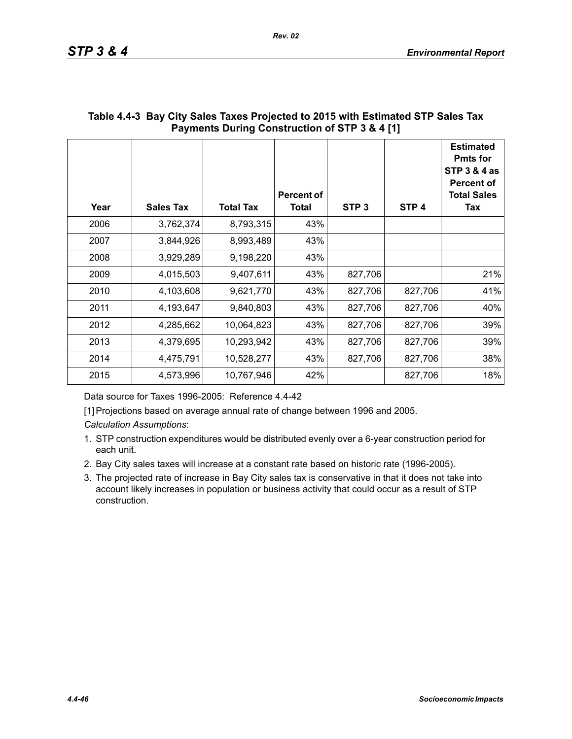| Year | <b>Sales Tax</b> | <b>Total Tax</b> | Percent of<br><b>Total</b> | STP <sub>3</sub> | STP <sub>4</sub> | <b>Estimated</b><br><b>Pmts for</b><br><b>STP 3 &amp; 4 as</b><br><b>Percent of</b><br><b>Total Sales</b><br>Tax |
|------|------------------|------------------|----------------------------|------------------|------------------|------------------------------------------------------------------------------------------------------------------|
| 2006 | 3,762,374        | 8,793,315        | 43%                        |                  |                  |                                                                                                                  |
| 2007 | 3,844,926        | 8,993,489        | 43%                        |                  |                  |                                                                                                                  |
| 2008 | 3,929,289        | 9,198,220        | 43%                        |                  |                  |                                                                                                                  |
| 2009 | 4,015,503        | 9,407,611        | 43%                        | 827,706          |                  | 21%                                                                                                              |
| 2010 | 4,103,608        | 9,621,770        | 43%                        | 827,706          | 827,706          | 41%                                                                                                              |
| 2011 | 4,193,647        | 9,840,803        | 43%                        | 827,706          | 827,706          | 40%                                                                                                              |
| 2012 | 4,285,662        | 10,064,823       | 43%                        | 827,706          | 827,706          | 39%                                                                                                              |
| 2013 | 4,379,695        | 10,293,942       | 43%                        | 827,706          | 827,706          | 39%                                                                                                              |
| 2014 | 4,475,791        | 10,528,277       | 43%                        | 827,706          | 827,706          | 38%                                                                                                              |
| 2015 | 4,573,996        | 10,767,946       | 42%                        |                  | 827,706          | 18%                                                                                                              |

# **Table 4.4-3 Bay City Sales Taxes Projected to 2015 with Estimated STP Sales Tax Payments During Construction of STP 3 & 4 [1]**

Data source for Taxes 1996-2005: Reference 4.4-42

[1] Projections based on average annual rate of change between 1996 and 2005.

*Calculation Assumptions*:

- 1. STP construction expenditures would be distributed evenly over a 6-year construction period for each unit.
- 2. Bay City sales taxes will increase at a constant rate based on historic rate (1996-2005).
- 3. The projected rate of increase in Bay City sales tax is conservative in that it does not take into account likely increases in population or business activity that could occur as a result of STP construction.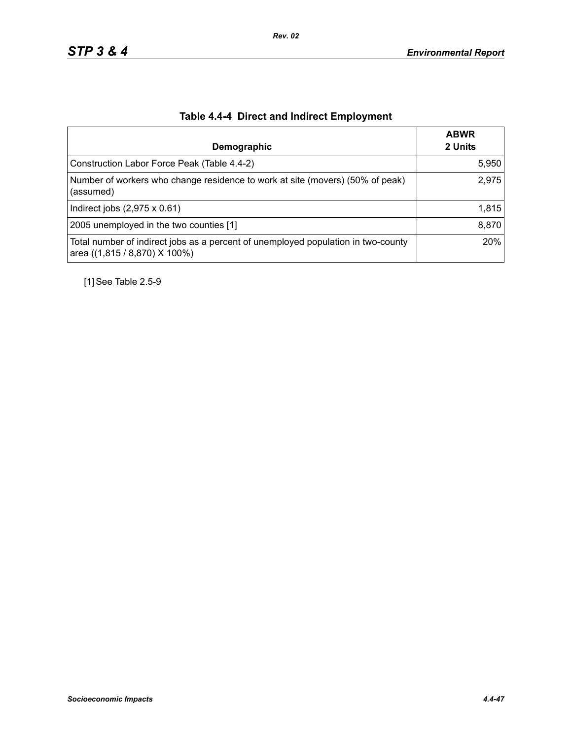| Demographic                                                                                                        | <b>ABWR</b><br>2 Units |
|--------------------------------------------------------------------------------------------------------------------|------------------------|
| Construction Labor Force Peak (Table 4.4-2)                                                                        | 5,950                  |
| Number of workers who change residence to work at site (movers) (50% of peak)<br>(assumed)                         | 2,975                  |
| Indirect jobs $(2,975 \times 0.61)$                                                                                | 1,815                  |
| 2005 unemployed in the two counties [1]                                                                            | 8,870                  |
| Total number of indirect jobs as a percent of unemployed population in two-county<br>area ((1,815 / 8,870) X 100%) | 20%                    |

# **Table 4.4-4 Direct and Indirect Employment**

[1] See Table 2.5-9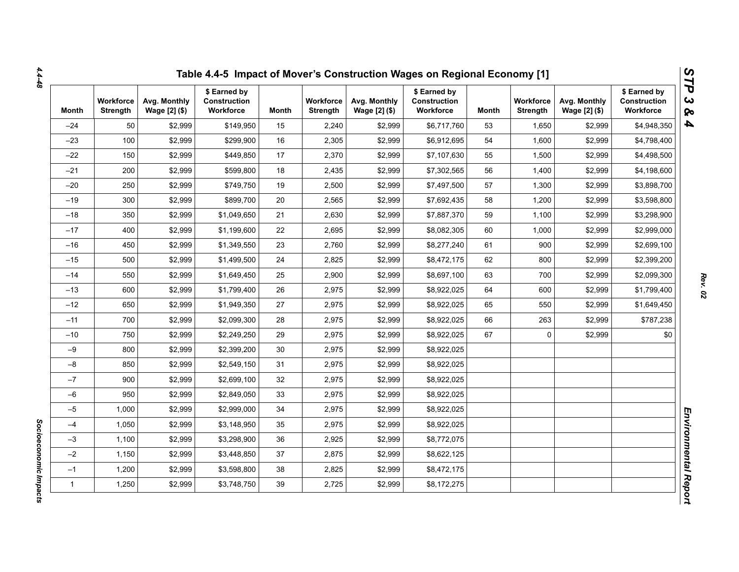| Month        | <b>Workforce</b><br>Strength | Avg. Monthly<br>Wage [2] (\$) | \$ Earned by<br><b>Construction</b><br>Workforce | Month | Workforce<br><b>Strength</b> | Avg. Monthly<br>Wage [2] (\$) | \$ Earned by<br>Construction<br>Workforce | Month | <b>Workforce</b><br>Strength | Avg. Monthly<br>Wage [2] (\$) | \$ Earned by<br>Construction<br>Workforce |
|--------------|------------------------------|-------------------------------|--------------------------------------------------|-------|------------------------------|-------------------------------|-------------------------------------------|-------|------------------------------|-------------------------------|-------------------------------------------|
| $-24$        | 50                           | \$2,999                       | \$149,950                                        | 15    | 2,240                        | \$2,999                       | \$6,717,760                               | 53    | 1,650                        | \$2,999                       | \$4,948,350                               |
| $-23$        | 100                          | \$2,999                       | \$299,900                                        | 16    | 2,305                        | \$2,999                       | \$6,912,695                               | 54    | 1,600                        | \$2,999                       | \$4,798,400                               |
| $-22$        | 150                          | \$2,999                       | \$449,850                                        | 17    | 2,370                        | \$2,999                       | \$7,107,630                               | 55    | 1,500                        | \$2,999                       | \$4,498,500                               |
| $-21$        | 200                          | \$2,999                       | \$599,800                                        | 18    | 2,435                        | \$2,999                       | \$7,302,565                               | 56    | 1,400                        | \$2,999                       | \$4,198,600                               |
| $-20$        | 250                          | \$2,999                       | \$749,750                                        | 19    | 2,500                        | \$2,999                       | \$7,497,500                               | 57    | 1,300                        | \$2,999                       | \$3,898,700                               |
| $-19$        | 300                          | \$2,999                       | \$899.700                                        | 20    | 2,565                        | \$2,999                       | \$7,692,435                               | 58    | 1,200                        | \$2,999                       | \$3,598,800                               |
| $-18$        | 350                          | \$2,999                       | \$1,049,650                                      | 21    | 2,630                        | \$2,999                       | \$7,887,370                               | 59    | 1,100                        | \$2,999                       | \$3,298,900                               |
| $-17$        | 400                          | \$2,999                       | \$1,199,600                                      | 22    | 2,695                        | \$2,999                       | \$8,082,305                               | 60    | 1,000                        | \$2,999                       | \$2,999,000                               |
| $-16$        | 450                          | \$2,999                       | \$1,349,550                                      | 23    | 2,760                        | \$2,999                       | \$8,277,240                               | 61    | 900                          | \$2,999                       | \$2,699,100                               |
| $-15$        | 500                          | \$2,999                       | \$1,499,500                                      | 24    | 2,825                        | \$2,999                       | \$8,472,175                               | 62    | 800                          | \$2,999                       | \$2,399,200                               |
| $-14$        | 550                          | \$2,999                       | \$1,649,450                                      | 25    | 2,900                        | \$2,999                       | \$8,697,100                               | 63    | 700                          | \$2,999                       | \$2,099,300                               |
| $-13$        | 600                          | \$2,999                       | \$1,799,400                                      | 26    | 2,975                        | \$2,999                       | \$8,922,025                               | 64    | 600                          | \$2,999                       | \$1,799,400                               |
| $-12$        | 650                          | \$2,999                       | \$1,949,350                                      | 27    | 2,975                        | \$2,999                       | \$8,922,025                               | 65    | 550                          | \$2,999                       | \$1,649,450                               |
| $-11$        | 700                          | \$2,999                       | \$2,099,300                                      | 28    | 2,975                        | \$2,999                       | \$8,922,025                               | 66    | 263                          | \$2,999                       | \$787,238                                 |
| $-10$        | 750                          | \$2,999                       | \$2,249,250                                      | 29    | 2,975                        | \$2,999                       | \$8,922,025                               | 67    | $\mathbf 0$                  | \$2,999                       | \$0                                       |
| $-9$         | 800                          | \$2,999                       | \$2,399,200                                      | 30    | 2,975                        | \$2,999                       | \$8,922,025                               |       |                              |                               |                                           |
| $-8$         | 850                          | \$2,999                       | \$2,549,150                                      | 31    | 2,975                        | \$2,999                       | \$8,922,025                               |       |                              |                               |                                           |
| $-7$         | 900                          | \$2,999                       | \$2,699,100                                      | 32    | 2,975                        | \$2,999                       | \$8,922,025                               |       |                              |                               |                                           |
| $-6$         | 950                          | \$2,999                       | \$2,849,050                                      | 33    | 2,975                        | \$2,999                       | \$8,922,025                               |       |                              |                               |                                           |
| $-5$         | 1,000                        | \$2,999                       | \$2,999,000                                      | 34    | 2,975                        | \$2,999                       | \$8,922,025                               |       |                              |                               |                                           |
| $-4$         | 1,050                        | \$2,999                       | \$3,148,950                                      | 35    | 2,975                        | \$2,999                       | \$8,922,025                               |       |                              |                               |                                           |
| $-3$         | 1,100                        | \$2,999                       | \$3,298,900                                      | 36    | 2,925                        | \$2,999                       | \$8,772,075                               |       |                              |                               |                                           |
| $-2$         | 1,150                        | \$2,999                       | \$3,448,850                                      | 37    | 2,875                        | \$2,999                       | \$8,622,125                               |       |                              |                               |                                           |
| $-1$         | 1,200                        | \$2,999                       | \$3,598,800                                      | 38    | 2,825                        | \$2,999                       | \$8,472,175                               |       |                              |                               |                                           |
| $\mathbf{1}$ | 1,250                        | \$2,999                       | \$3,748,750                                      | 39    | 2,725                        | \$2,999                       | \$8,172,275                               |       |                              |                               |                                           |

*4.4-48*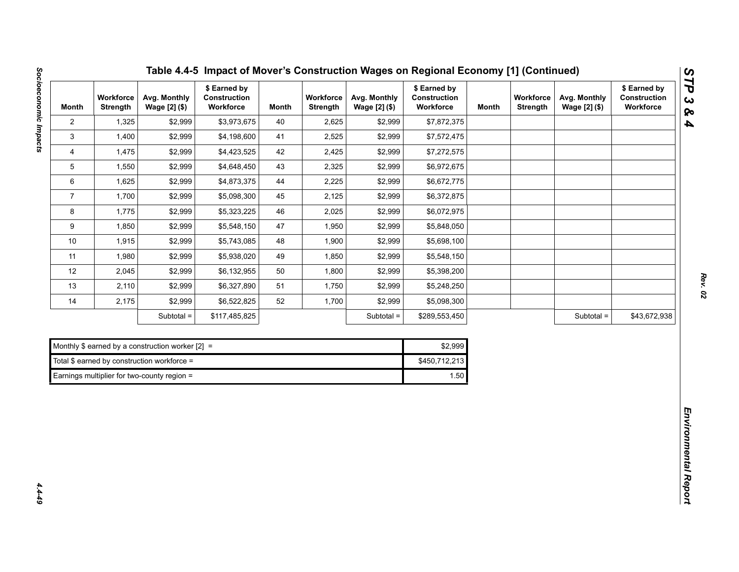| Month                     | Workforce<br>Strength | Avg. Monthly<br>Wage [2] (\$)                      | \$ Earned by<br>Construction<br>Workforce | <b>Month</b> | Workforce<br><b>Strength</b> | Avg. Monthly<br>Wage [2] (\$) | \$ Earned by<br>Construction<br>Workforce | <b>Month</b> | Workforce<br>Strength | Avg. Monthly<br>Wage [2] (\$) | \$ Earned by<br>Construction<br>Workforce |
|---------------------------|-----------------------|----------------------------------------------------|-------------------------------------------|--------------|------------------------------|-------------------------------|-------------------------------------------|--------------|-----------------------|-------------------------------|-------------------------------------------|
| $\overline{2}$            | 1,325                 | \$2,999                                            | \$3,973,675                               | 40           | 2,625                        | \$2,999                       | \$7,872,375                               |              |                       |                               |                                           |
| $\ensuremath{\mathsf{3}}$ | 1,400                 | \$2,999                                            | \$4,198,600                               | 41           | 2,525                        | \$2,999                       | \$7,572,475                               |              |                       |                               |                                           |
| 4                         | 1,475                 | \$2,999                                            | \$4,423,525                               | 42           | 2,425                        | \$2,999                       | \$7,272,575                               |              |                       |                               |                                           |
| $\mathbf 5$               | 1,550                 | \$2,999                                            | \$4,648,450                               | 43           | 2,325                        | \$2,999                       | \$6,972,675                               |              |                       |                               |                                           |
| 6                         | 1,625                 | \$2,999                                            | \$4,873,375                               | 44           | 2,225                        | \$2,999                       | \$6,672,775                               |              |                       |                               |                                           |
| $\overline{7}$            | 1,700                 | \$2,999                                            | \$5,098,300                               | 45           | 2,125                        | \$2,999                       | \$6,372,875                               |              |                       |                               |                                           |
| 8                         | 1,775                 | \$2,999                                            | \$5,323,225                               | 46           | 2,025                        | \$2,999                       | \$6,072,975                               |              |                       |                               |                                           |
| 9                         | 1,850                 | \$2,999                                            | \$5,548,150                               | 47           | 1,950                        | \$2,999                       | \$5,848,050                               |              |                       |                               |                                           |
| 10                        | 1,915                 | \$2,999                                            | \$5,743,085                               | 48           | 1,900                        | \$2,999                       | \$5,698,100                               |              |                       |                               |                                           |
| 11                        | 1,980                 | \$2,999                                            | \$5,938,020                               | 49           | 1,850                        | \$2,999                       | \$5,548,150                               |              |                       |                               |                                           |
| 12                        | 2,045                 | \$2,999                                            | \$6,132,955                               | 50           | 1,800                        | \$2,999                       | \$5,398,200                               |              |                       |                               |                                           |
| 13                        | 2,110                 | \$2,999                                            | \$6,327,890                               | 51           | 1,750                        | \$2,999                       | \$5,248,250                               |              |                       |                               |                                           |
| 14                        | 2,175                 | \$2,999                                            | \$6,522,825                               | 52           | 1,700                        | \$2,999                       | \$5,098,300                               |              |                       |                               |                                           |
|                           |                       | Subtotal =                                         | \$117,485,825                             |              |                              | Subtotal =                    | \$289,553,450                             |              |                       | Subtotal =                    | \$43,672,938                              |
|                           |                       |                                                    |                                           |              |                              |                               |                                           |              |                       |                               |                                           |
|                           |                       | Monthly \$ earned by a construction worker $[2] =$ |                                           |              |                              |                               | \$2,999                                   |              |                       |                               |                                           |
|                           |                       | Total \$ earned by construction workforce =        |                                           |              |                              |                               | \$450,712,213                             |              |                       |                               |                                           |
|                           |                       | Earnings multiplier for two-county region =        |                                           |              |                              |                               | 1.50                                      |              |                       |                               |                                           |

| Table 4.4-5 Impact of Mover's Construction Wages on Regional Economy [1] (Continued) |  |  |
|--------------------------------------------------------------------------------------|--|--|
|--------------------------------------------------------------------------------------|--|--|

| Monthly \$ earned by a construction worker $[2] =$ | \$2.999       |
|----------------------------------------------------|---------------|
| Total \$ earned by construction workforce =        | \$450,712,213 |
| Earnings multiplier for two-county region $=$      | 1.50          |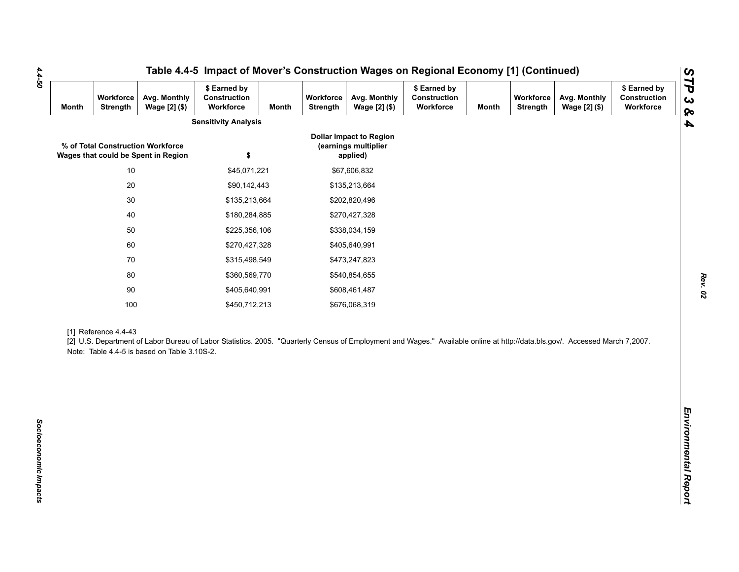| <b>Month</b> | Workforce<br>Strength | Avg. Monthly<br>Wage [2] (\$)                                            | \$ Earned by<br>Construction<br>Workforce                                                                                                                                   | Month | Workforce<br>Strength | Avg. Monthly<br>Wage [2] (\$)                                      | \$ Earned by<br>Construction<br>Workforce | <b>Month</b> | Workforce<br><b>Strength</b> | Avg. Monthly<br>Wage [2] (\$) | \$ Earned by<br><b>Construction</b><br>Workforce |
|--------------|-----------------------|--------------------------------------------------------------------------|-----------------------------------------------------------------------------------------------------------------------------------------------------------------------------|-------|-----------------------|--------------------------------------------------------------------|-------------------------------------------|--------------|------------------------------|-------------------------------|--------------------------------------------------|
|              |                       |                                                                          | <b>Sensitivity Analysis</b>                                                                                                                                                 |       |                       |                                                                    |                                           |              |                              |                               |                                                  |
|              |                       | % of Total Construction Workforce<br>Wages that could be Spent in Region | \$                                                                                                                                                                          |       |                       | <b>Dollar Impact to Region</b><br>(earnings multiplier<br>applied) |                                           |              |                              |                               |                                                  |
|              | 10                    |                                                                          | \$45,071,221                                                                                                                                                                |       |                       | \$67,606,832                                                       |                                           |              |                              |                               |                                                  |
|              | 20                    |                                                                          | \$90,142,443                                                                                                                                                                |       |                       | \$135,213,664                                                      |                                           |              |                              |                               |                                                  |
|              | $30\,$                |                                                                          | \$135,213,664                                                                                                                                                               |       |                       | \$202,820,496                                                      |                                           |              |                              |                               |                                                  |
|              | $40\,$                |                                                                          | \$180,284,885                                                                                                                                                               |       |                       | \$270,427,328                                                      |                                           |              |                              |                               |                                                  |
|              | 50                    |                                                                          | \$225,356,106                                                                                                                                                               |       |                       | \$338,034,159                                                      |                                           |              |                              |                               |                                                  |
|              | 60                    |                                                                          | \$270,427,328                                                                                                                                                               |       |                       | \$405,640,991                                                      |                                           |              |                              |                               |                                                  |
|              | $70\,$                |                                                                          | \$315,498,549                                                                                                                                                               |       |                       | \$473,247,823                                                      |                                           |              |                              |                               |                                                  |
| 80           |                       | \$360,569,770                                                            |                                                                                                                                                                             |       | \$540,854,655         |                                                                    |                                           |              |                              |                               |                                                  |
|              | $90\,$                |                                                                          | \$405,640,991                                                                                                                                                               |       |                       | \$608,461,487                                                      |                                           |              |                              |                               |                                                  |
|              | 100                   |                                                                          | \$450,712,213                                                                                                                                                               |       |                       | \$676,068,319                                                      |                                           |              |                              |                               |                                                  |
|              | [1] Reference 4.4-43  | Note: Table 4.4-5 is based on Table 3.10S-2.                             | [2] U.S. Department of Labor Bureau of Labor Statistics. 2005. "Quarterly Census of Employment and Wages." Available online at http://data.bls.gov/. Accessed March 7,2007. |       |                       |                                                                    |                                           |              |                              |                               |                                                  |
|              |                       |                                                                          |                                                                                                                                                                             |       |                       |                                                                    |                                           |              |                              |                               |                                                  |

*4.4-50*

*Rev. 02*